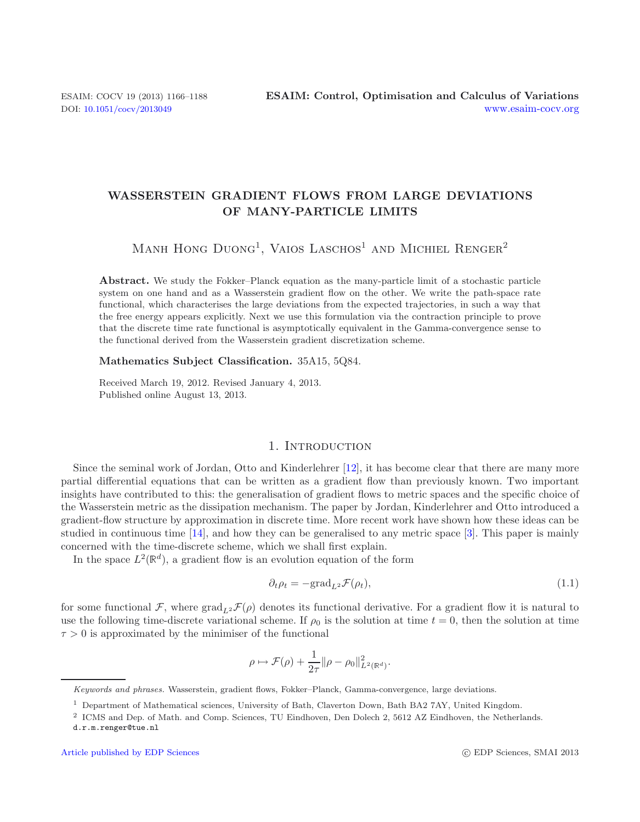# **WASSERSTEIN GRADIENT FLOWS FROM LARGE DEVIATIONS OF MANY-PARTICLE LIMITS**

MANH HONG  $D$ UONG<sup>1</sup>, VAIOS LASCHOS<sup>1</sup> AND MICHIEL RENGER<sup>2</sup>

**Abstract.** We study the Fokker–Planck equation as the many-particle limit of a stochastic particle system on one hand and as a Wasserstein gradient flow on the other. We write the path-space rate functional, which characterises the large deviations from the expected trajectories, in such a way that the free energy appears explicitly. Next we use this formulation via the contraction principle to prove that the discrete time rate functional is asymptotically equivalent in the Gamma-convergence sense to the functional derived from the Wasserstein gradient discretization scheme.

#### **Mathematics Subject Classification.** 35A15, 5Q84.

Received March 19, 2012. Revised January 4, 2013. Published online August 13, 2013.

## <span id="page-0-0"></span>1. INTRODUCTION

<span id="page-0-1"></span>Since the seminal work of Jordan, Otto and Kinderlehrer [\[12\]](#page-22-0), it has become clear that there are many more partial differential equations that can be written as a gradient flow than previously known. Two important insights have contributed to this: the generalisation of gradient flows to metric spaces and the specific choice of the Wasserstein metric as the dissipation mechanism. The paper by Jordan, Kinderlehrer and Otto introduced a gradient-flow structure by approximation in discrete time. More recent work have shown how these ideas can be studied in continuous time [\[14\]](#page-22-1), and how they can be generalised to any metric space [\[3](#page-21-0)]. This paper is mainly concerned with the time-discrete scheme, which we shall first explain.

In the space  $L^2(\mathbb{R}^d)$ , a gradient flow is an evolution equation of the form

$$
\partial_t \rho_t = -\text{grad}_{L^2} \mathcal{F}(\rho_t),\tag{1.1}
$$

for some functional  $\mathcal{F}$ , where  $\text{grad}_{L^2}\mathcal{F}(\rho)$  denotes its functional derivative. For a gradient flow it is natural to use the following time-discrete variational scheme. If  $\rho_0$  is the solution at time  $t = 0$ , then the solution at time  $\tau > 0$  is approximated by the minimiser of the functional

$$
\rho \mapsto \mathcal{F}(\rho) + \frac{1}{2\tau} ||\rho - \rho_0||^2_{L^2(\mathbb{R}^d)}.
$$

Keywords and phrases. Wasserstein, gradient flows, Fokker–Planck, Gamma-convergence, large deviations.

<sup>1</sup> Department of Mathematical sciences, University of Bath, Claverton Down, Bath BA2 7AY, United Kingdom.

<sup>2</sup> ICMS and Dep. of Math. and Comp. Sciences, TU Eindhoven, Den Dolech 2, 5612 AZ Eindhoven, the Netherlands. d.r.m.renger@tue.nl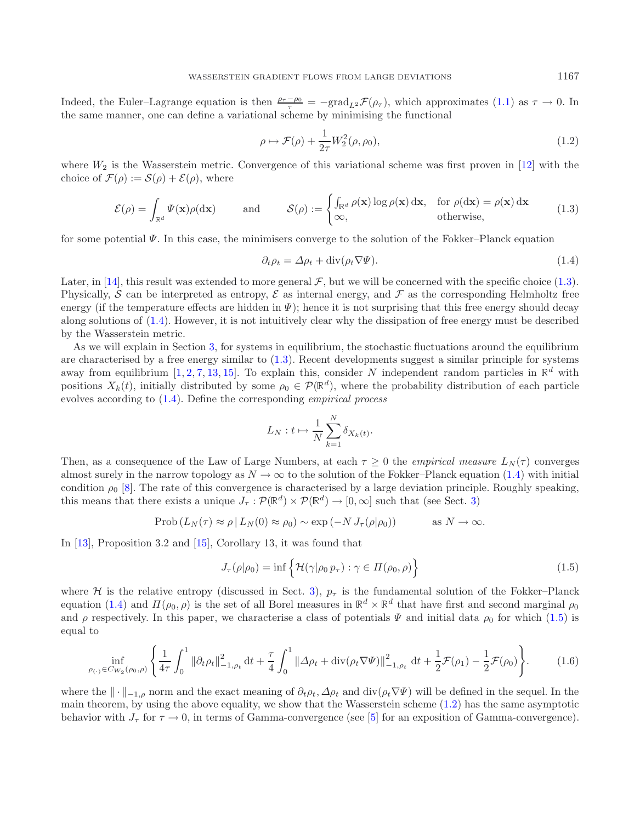Indeed, the Euler–Lagrange equation is then  $\frac{\rho_{\tau}-\rho_{0}}{\tau}$  =  $-\text{grad}_{L^{2}}\mathcal{F}(\rho_{\tau})$ , which approximates [\(1.1\)](#page-0-0) as  $\tau \to 0$ . In the same manner, one can define a variational scheme by minimising the functional

<span id="page-1-3"></span><span id="page-1-1"></span><span id="page-1-0"></span>
$$
\rho \mapsto \mathcal{F}(\rho) + \frac{1}{2\tau} W_2^2(\rho, \rho_0),\tag{1.2}
$$

where  $W_2$  is the Wasserstein metric. Convergence of this variational scheme was first proven in [\[12\]](#page-22-0) with the choice of  $\mathcal{F}(\rho) := \mathcal{S}(\rho) + \mathcal{E}(\rho)$ , where

$$
\mathcal{E}(\rho) = \int_{\mathbb{R}^d} \Psi(\mathbf{x}) \rho(\mathrm{d}\mathbf{x}) \quad \text{and} \quad \mathcal{S}(\rho) := \begin{cases} \int_{\mathbb{R}^d} \rho(\mathbf{x}) \log \rho(\mathbf{x}) \, \mathrm{d}\mathbf{x}, & \text{for } \rho(\mathrm{d}\mathbf{x}) = \rho(\mathbf{x}) \, \mathrm{d}\mathbf{x} \\ \infty, & \text{otherwise,} \end{cases} \tag{1.3}
$$

for some potential  $\Psi$ . In this case, the minimisers converge to the solution of the Fokker–Planck equation

$$
\partial_t \rho_t = \Delta \rho_t + \text{div}(\rho_t \nabla \Psi). \tag{1.4}
$$

Later, in [\[14](#page-22-1)], this result was extended to more general  $\mathcal F$ , but we will be concerned with the specific choice [\(1.3\)](#page-1-0). Physically, S can be interpreted as entropy, S as internal energy, and F as the corresponding Helmholtz free energy (if the temperature effects are hidden in  $\Psi$ ); hence it is not surprising that this free energy should decay along solutions of [\(1.4\)](#page-1-1). However, it is not intuitively clear why the dissipation of free energy must be described by the Wasserstein metric.

As we will explain in Section [3,](#page-5-0) for systems in equilibrium, the stochastic fluctuations around the equilibrium are characterised by a free energy similar to [\(1.3\)](#page-1-0). Recent developments suggest a similar principle for systems away from equilibrium [\[1,](#page-21-1) [2,](#page-21-2) [7](#page-21-3), [13,](#page-22-2) [15\]](#page-22-3). To explain this, consider N independent random particles in  $\mathbb{R}^d$  with positions  $X_k(t)$ , initially distributed by some  $\rho_0 \in \mathcal{P}(\mathbb{R}^d)$ , where the probability distribution of each particle evolves according to [\(1.4\)](#page-1-1). Define the corresponding *empirical process*

<span id="page-1-2"></span>
$$
L_N: t \mapsto \frac{1}{N} \sum_{k=1}^N \delta_{X_k(t)}.
$$

<span id="page-1-5"></span>Then, as a consequence of the Law of Large Numbers, at each  $\tau \geq 0$  the *empirical measure*  $L_N(\tau)$  converges almost surely in the narrow topology as  $N \to \infty$  to the solution of the Fokker–Planck equation [\(1.4\)](#page-1-1) with initial condition  $\rho_0$  [\[8\]](#page-21-4). The rate of this convergence is characterised by a large deviation principle. Roughly speaking, this means that there exists a unique  $J_{\tau}: \mathcal{P}(\mathbb{R}^d) \times \mathcal{P}(\mathbb{R}^d) \to [0,\infty]$  such that (see Sect. [3\)](#page-5-0)

$$
\text{Prob}\left(L_N(\tau) \approx \rho \,|\, L_N(0) \approx \rho_0\right) \sim \exp\left(-N J_\tau(\rho|\rho_0)\right) \quad \text{as } N \to \infty.
$$

In [\[13\]](#page-22-2), Proposition 3.2 and [\[15\]](#page-22-3), Corollary 13, it was found that

$$
J_{\tau}(\rho|\rho_0) = \inf \left\{ \mathcal{H}(\gamma|\rho_0 p_{\tau}) : \gamma \in \Pi(\rho_0, \rho) \right\} \tag{1.5}
$$

<span id="page-1-4"></span>where H is the relative entropy (discussed in Sect. [3\)](#page-5-0),  $p<sub>\tau</sub>$  is the fundamental solution of the Fokker–Planck equation [\(1.4\)](#page-1-1) and  $\Pi(\rho_0, \rho)$  is the set of all Borel measures in  $\mathbb{R}^d \times \mathbb{R}^d$  that have first and second marginal  $\rho_0$ and  $\rho$  respectively. In this paper, we characterise a class of potentials  $\Psi$  and initial data  $\rho_0$  for which [\(1.5\)](#page-1-2) is equal to

$$
\inf_{\rho_{(\cdot)} \in C_{W_2}(\rho_0, \rho)} \left\{ \frac{1}{4\tau} \int_0^1 \|\partial_t \rho_t\|_{-1, \rho_t}^2 \, \mathrm{d}t + \frac{\tau}{4} \int_0^1 \|\Delta \rho_t + \mathrm{div}(\rho_t \nabla \Psi)\|_{-1, \rho_t}^2 \, \mathrm{d}t + \frac{1}{2} \mathcal{F}(\rho_1) - \frac{1}{2} \mathcal{F}(\rho_0) \right\}.
$$
 (1.6)

where the  $\|\cdot\|_{-1,\rho}$  norm and the exact meaning of  $\partial_t \rho_t$ ,  $\Delta \rho_t$  and div( $\rho_t \nabla \Psi$ ) will be defined in the sequel. In the main theorem, by using the above equality, we show that the Wasserstein scheme  $(1.2)$  has the same asymptotic behavior with  $J_{\tau}$  for  $\tau \to 0$ , in terms of Gamma-convergence (see [\[5\]](#page-21-5) for an exposition of Gamma-convergence).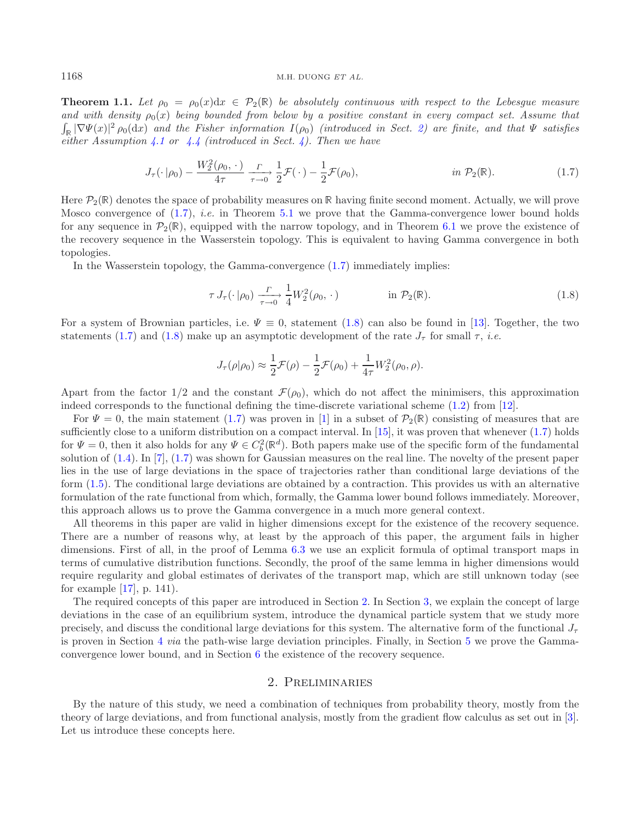**Theorem 1.1.** Let  $\rho_0 = \rho_0(x)dx \in \mathcal{P}_2(\mathbb{R})$  be absolutely continuous with respect to the Lebesgue measure and with density  $\rho_0(x)$  being bounded from below by a positive constant in every compact set. Assume that  $\int_{\mathbb{R}} |\nabla \Psi(x)|^2 \rho_0(dx)$  and the Fisher information  $I(\rho_0)$  (introduced in Sect. [2\)](#page-2-0) are finite, and that  $\Psi$  satisfies *either Assumption [4.1](#page-6-0) or [4.4](#page-7-0) (introduced in Sect. [4\)](#page-6-1). Then we have*

<span id="page-2-2"></span><span id="page-2-1"></span>
$$
J_{\tau}(\cdot|\rho_0) - \frac{W_2^2(\rho_0, \cdot)}{4\tau} \xrightarrow[\tau \to 0]{} \frac{1}{2} \mathcal{F}(\cdot) - \frac{1}{2} \mathcal{F}(\rho_0), \qquad \text{in } \mathcal{P}_2(\mathbb{R}). \tag{1.7}
$$

Here  $\mathcal{P}_2(\mathbb{R})$  denotes the space of probability measures on  $\mathbb{R}$  having finite second moment. Actually, we will prove Mosco convergence of [\(1.7\)](#page-2-1), *i.e.* in Theorem [5.1](#page-12-0) we prove that the Gamma-convergence lower bound holds for any sequence in  $\mathcal{P}_2(\mathbb{R})$ , equipped with the narrow topology, and in Theorem [6.1](#page-13-0) we prove the existence of the recovery sequence in the Wasserstein topology. This is equivalent to having Gamma convergence in both topologies.

In the Wasserstein topology, the Gamma-convergence [\(1.7\)](#page-2-1) immediately implies:

$$
\tau J_{\tau}(\cdot | \rho_0) \frac{\Gamma}{\tau \to 0} \frac{1}{4} W_2^2(\rho_0, \cdot) \qquad \text{in } \mathcal{P}_2(\mathbb{R}). \tag{1.8}
$$

For a system of Brownian particles, i.e.  $\Psi \equiv 0$ , statement [\(1.8\)](#page-2-2) can also be found in [\[13](#page-22-2)]. Together, the two statements [\(1.7\)](#page-2-1) and [\(1.8\)](#page-2-2) make up an asymptotic development of the rate  $J_{\tau}$  for small  $\tau$ , *i.e.* 

$$
J_{\tau}(\rho|\rho_0) \approx \frac{1}{2}\mathcal{F}(\rho) - \frac{1}{2}\mathcal{F}(\rho_0) + \frac{1}{4\tau}W_2^2(\rho_0, \rho).
$$

Apart from the factor  $1/2$  and the constant  $\mathcal{F}(\rho_0)$ , which do not affect the minimisers, this approximation indeed corresponds to the functional defining the time-discrete variational scheme [\(1.2\)](#page-1-3) from [\[12\]](#page-22-0).

For  $\Psi = 0$ , the main statement [\(1.7\)](#page-2-1) was proven in [\[1](#page-21-1)] in a subset of  $\mathcal{P}_2(\mathbb{R})$  consisting of measures that are sufficiently close to a uniform distribution on a compact interval. In  $[15]$  $[15]$ , it was proven that whenever  $(1.7)$  holds for  $\Psi = 0$ , then it also holds for any  $\Psi \in C_b^2(\mathbb{R}^d)$ . Both papers make use of the specific form of the fundamental solution of [\(1.4\)](#page-1-1). In [\[7\]](#page-21-3), [\(1.7\)](#page-2-1) was shown for Gaussian measures on the real line. The novelty of the present paper lies in the use of large deviations in the space of trajectories rather than conditional large deviations of the form [\(1.5\)](#page-1-2). The conditional large deviations are obtained by a contraction. This provides us with an alternative formulation of the rate functional from which, formally, the Gamma lower bound follows immediately. Moreover, this approach allows us to prove the Gamma convergence in a much more general context.

All theorems in this paper are valid in higher dimensions except for the existence of the recovery sequence. There are a number of reasons why, at least by the approach of this paper, the argument fails in higher dimensions. First of all, in the proof of Lemma [6.3](#page-14-0) we use an explicit formula of optimal transport maps in terms of cumulative distribution functions. Secondly, the proof of the same lemma in higher dimensions would require regularity and global estimates of derivates of the transport map, which are still unknown today (see for example [\[17\]](#page-22-4), p. 141).

The required concepts of this paper are introduced in Section [2.](#page-2-0) In Section [3,](#page-5-0) we explain the concept of large deviations in the case of an equilibrium system, introduce the dynamical particle system that we study more precisely, and discuss the conditional large deviations for this system. The alternative form of the functional  $J_{\tau}$ is proven in Section [4](#page-6-1) *via* the path-wise large deviation principles. Finally, in Section [5](#page-12-1) we prove the Gammaconvergence lower bound, and in Section [6](#page-13-1) the existence of the recovery sequence.

# 2. Preliminaries

<span id="page-2-0"></span>By the nature of this study, we need a combination of techniques from probability theory, mostly from the theory of large deviations, and from functional analysis, mostly from the gradient flow calculus as set out in [\[3](#page-21-0)]. Let us introduce these concepts here.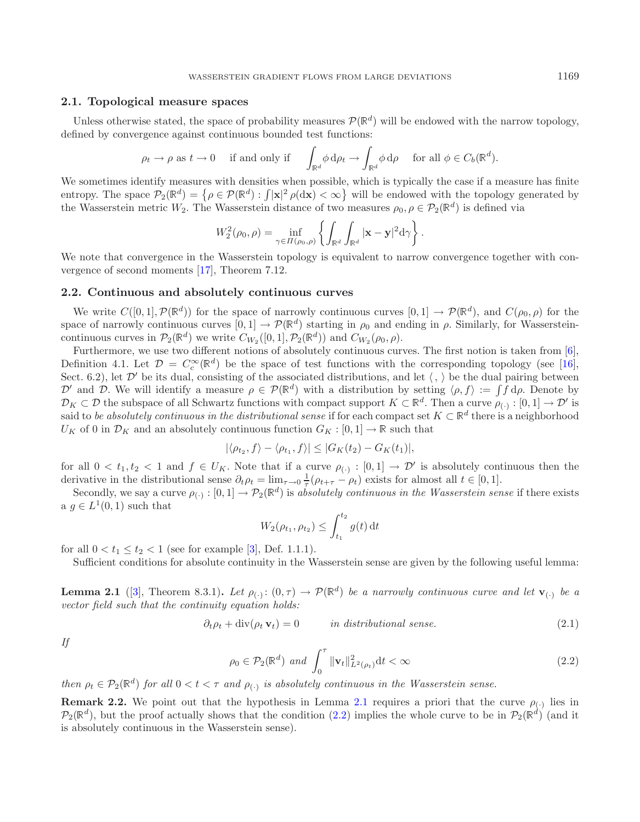#### **2.1. Topological measure spaces**

Unless otherwise stated, the space of probability measures  $\mathcal{P}(\mathbb{R}^d)$  will be endowed with the narrow topology, defined by convergence against continuous bounded test functions:

$$
\rho_t \to \rho
$$
 as  $t \to 0$  if and only if  $\int_{\mathbb{R}^d} \phi \, d\rho_t \to \int_{\mathbb{R}^d} \phi \, d\rho$  for all  $\phi \in C_b(\mathbb{R}^d)$ .

We sometimes identify measures with densities when possible, which is typically the case if a measure has finite entropy. The space  $\mathcal{P}_2(\mathbb{R}^d) = \{ \rho \in \mathcal{P}(\mathbb{R}^d) : \int |\mathbf{x}|^2 \rho(\mathrm{d}\mathbf{x}) < \infty \}$  will be endowed with the topology generated by the Wasserstein metric W<sub>2</sub>. The Wasserstein distance of two measures  $\rho_0, \rho \in \mathcal{P}_2(\mathbb{R}^d)$  is defined via

$$
W_2^2(\rho_0,\rho)=\inf_{\gamma\in\Pi(\rho_0,\rho)}\left\{\int_{\mathbb{R}^d}\int_{\mathbb{R}^d}|\mathbf{x}-\mathbf{y}|^2d\gamma\right\}.
$$

We note that convergence in the Wasserstein topology is equivalent to narrow convergence together with convergence of second moments [\[17\]](#page-22-4), Theorem 7.12.

#### **2.2. Continuous and absolutely continuous curves**

We write  $C([0, 1], \mathcal{P}(\mathbb{R}^d))$  for the space of narrowly continuous curves  $[0, 1] \to \mathcal{P}(\mathbb{R}^d)$ , and  $C(\rho_0, \rho)$  for the space of narrowly continuous curves  $[0, 1] \rightarrow \mathcal{P}(\mathbb{R}^d)$  starting in  $\rho_0$  and ending in  $\rho$ . Similarly, for Wassersteincontinuous curves in  $\mathcal{P}_2(\mathbb{R}^d)$  we write  $C_{W_2}([0,1], \mathcal{P}_2(\mathbb{R}^d))$  and  $C_{W_2}(\rho_0, \rho)$ .

Furthermore, we use two different notions of absolutely continuous curves. The first notion is taken from [\[6](#page-21-6)], Definition 4.1. Let  $\mathcal{D} = C_c^{\infty}(\mathbb{R}^d)$  be the space of test functions with the corresponding topology (see [\[16](#page-22-5)], Sect. 6.2), let  $\mathcal{D}'$  be its dual, consisting of the associated distributions, and let  $\langle , \rangle$  be the dual pairing between D' and D. We will identify a measure  $\rho \in \mathcal{P}(\mathbb{R}^d)$  with a distribution by setting  $\langle \rho, f \rangle := \int f d\rho$ . Denote by  $\mathcal{D}_K \subset \mathcal{D}$  the subspace of all Schwartz functions with compact support  $K \subset \mathbb{R}^d$ . Then a curve  $\rho_{\langle \cdot \rangle} : [0,1] \to \mathcal{D}'$  is said to *be absolutely continuous in the distributional sense* if for each compact set  $K \subset \mathbb{R}^d$  there is a neighborhood  $U_K$  of 0 in  $\mathcal{D}_K$  and an absolutely continuous function  $G_K : [0,1] \to \mathbb{R}$  such that

<span id="page-3-2"></span>
$$
|\langle \rho_{t_2}, f \rangle - \langle \rho_{t_1}, f \rangle| \leq |G_K(t_2) - G_K(t_1)|,
$$

<span id="page-3-0"></span>for all  $0 < t_1, t_2 < 1$  and  $f \in U_K$ . Note that if a curve  $\rho_{(\cdot)} : [0,1] \to \mathcal{D}'$  is absolutely continuous then the derivative in the distributional sense  $\partial_t \rho_t = \lim_{\tau \to 0} \frac{1}{\tau} (\rho_{t+\tau} - \rho_t)$  exists for almost all  $t \in [0,1]$ .

<span id="page-3-1"></span>Secondly, we say a curve  $\rho_{(\cdot)}:[0,1]\to\mathcal{P}_2(\mathbb{R}^d)$  is *absolutely continuous in the Wasserstein sense* if there exists a  $g \in L^1(0,1)$  such that

$$
W_2(\rho_{t_1}, \rho_{t_2}) \le \int_{t_1}^{t_2} g(t) dt
$$

for all  $0 < t_1 \le t_2 < 1$  (see for example [\[3](#page-21-0)], Def. 1.1.1).

Sufficient conditions for absolute continuity in the Wasserstein sense are given by the following useful lemma:

**Lemma 2.1** ([\[3\]](#page-21-0), Theorem 8.3.1). Let  $\rho(\cdot): (0, \tau) \to \mathcal{P}(\mathbb{R}^d)$  be a narrowly continuous curve and let  $\mathbf{v}_{(\cdot)}$  be a *vector field such that the continuity equation holds:*

$$
\partial_t \rho_t + \text{div}(\rho_t \mathbf{v}_t) = 0 \qquad \text{in distributional sense.} \tag{2.1}
$$

*If*

$$
\rho_0 \in \mathcal{P}_2(\mathbb{R}^d) \text{ and } \int_0^\tau \|\mathbf{v}_t\|_{L^2(\rho_t)}^2 dt < \infty \tag{2.2}
$$

*then*  $\rho_t \in \mathcal{P}_2(\mathbb{R}^d)$  *for all*  $0 < t < \tau$  *and*  $\rho_{(\cdot)}$  *is absolutely continuous in the Wasserstein sense.* 

**Remark 2.2.** We point out that the hypothesis in Lemma [2.1](#page-3-0) requires a priori that the curve  $\rho_{(\cdot)}$  lies in  $\mathcal{P}_2(\mathbb{R}^d)$ , but the proof actually shows that the condition [\(2.2\)](#page-3-1) implies the whole curve to be in  $\mathcal{P}_2(\mathbb{R}^d)$  (and it is absolutely continuous in the Wasserstein sense).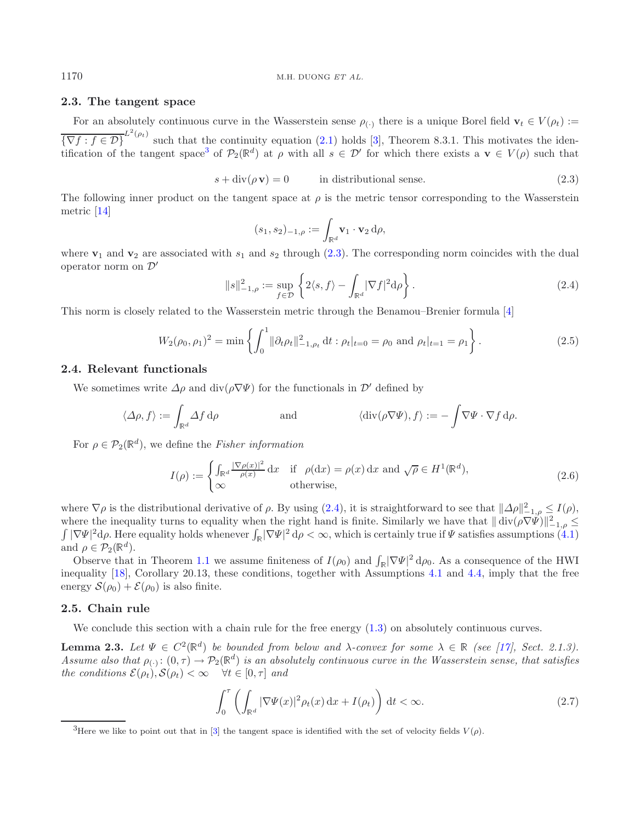## <span id="page-4-2"></span>**2.3. The tangent space**

For an absolutely continuous curve in the Wasserstein sense  $\rho_{(.)}$  there is a unique Borel field  $\mathbf{v}_t \in V(\rho_t)$  :=  ${\overline{\nabla f : f \in \mathcal{D}}}^{L^2(\rho_t)}$  such that the continuity equation [\(2.1\)](#page-3-2) holds [\[3](#page-21-0)], Theorem 8.3.1. This motivates the iden-tification of the tangent space<sup>[3](#page-4-0)</sup> of  $\mathcal{P}_2(\mathbb{R}^d)$  at  $\rho$  with all  $s \in \mathcal{D}'$  for which there exists a  $\mathbf{v} \in V(\rho)$  such that

$$
s + \operatorname{div}(\rho \mathbf{v}) = 0 \qquad \text{in distributional sense.} \tag{2.3}
$$

The following inner product on the tangent space at  $\rho$  is the metric tensor corresponding to the Wasserstein metric [\[14\]](#page-22-1)

<span id="page-4-5"></span>
$$
(s_1, s_2)_{-1,\rho} := \int_{\mathbb{R}^d} \mathbf{v}_1 \cdot \mathbf{v}_2 \, d\rho,
$$

where  $v_1$  and  $v_2$  are associated with  $s_1$  and  $s_2$  through [\(2.3\)](#page-4-1). The corresponding norm coincides with the dual operator norm on  $\mathcal{D}'$ 

<span id="page-4-6"></span>
$$
||s||_{-1,\rho}^2 := \sup_{f \in \mathcal{D}} \left\{ 2\langle s,f \rangle - \int_{\mathbb{R}^d} |\nabla f|^2 \mathrm{d}\rho \right\}.
$$
 (2.4)

This norm is closely related to the Wasserstein metric through the Benamou–Brenier formula [\[4\]](#page-21-7)

$$
W_2(\rho_0, \rho_1)^2 = \min \left\{ \int_0^1 \|\partial_t \rho_t\|_{-1, \rho_t}^2 \, \mathrm{d}t : \rho_t|_{t=0} = \rho_0 \text{ and } \rho_t|_{t=1} = \rho_1 \right\}.
$$
 (2.5)

#### **2.4. Relevant functionals**

We sometimes write  $\Delta \rho$  and div( $\rho \nabla \Psi$ ) for the functionals in  $\mathcal{D}'$  defined by

$$
\langle \Delta \rho, f \rangle := \int_{\mathbb{R}^d} \Delta f \, \mathrm{d}\rho \qquad \text{and} \qquad \langle \mathrm{div}(\rho \nabla \Psi), f \rangle := - \int \nabla \Psi \cdot \nabla f \, \mathrm{d}\rho.
$$

For  $\rho \in \mathcal{P}_2(\mathbb{R}^d)$ , we define the *Fisher information* 

<span id="page-4-4"></span><span id="page-4-3"></span>
$$
I(\rho) := \begin{cases} \int_{\mathbb{R}^d} \frac{|\nabla \rho(x)|^2}{\rho(x)} dx & \text{if } \rho(\mathrm{d}x) = \rho(x) \,\mathrm{d}x \text{ and } \sqrt{\rho} \in H^1(\mathbb{R}^d), \\ \infty & \text{otherwise,} \end{cases}
$$
(2.6)

where  $\nabla \rho$  is the distributional derivative of  $\rho$ . By using [\(2.4\)](#page-4-2), it is straightforward to see that  $\|\Delta \rho\|_{\mathbb{L}^1(\rho)}^2 \leq I(\rho)$ , where the inequality turns to equality when the right hand is finite. Similarly we have that  $\|\operatorname{div}(\rho \nabla \Psi)\|_{-1,\rho}^2 \leq$  $\int |\nabla \Psi|^2 d\rho$ . Here equality holds whenever  $\int_{\mathbb{R}} |\nabla \Psi|^2 d\rho < \infty$ , which is certainly true if  $\Psi$  satisfies assumptions [\(4.1\)](#page-6-0) and  $\rho \in \mathcal{P}_2(\mathbb{R}^d)$ .

<span id="page-4-0"></span>Observe that in Theorem [1.1](#page-1-4) we assume finiteness of  $I(\rho_0)$  and  $\int_{\mathbb{R}} |\nabla \Psi|^2 d\rho_0$ . As a consequence of the HWI inequality [\[18](#page-22-6)], Corollary 20.13, these conditions, together with Assumptions [4.1](#page-6-0) and [4.4,](#page-7-0) imply that the free energy  $S(\rho_0) + \mathcal{E}(\rho_0)$  is also finite.

## **2.5. Chain rule**

We conclude this section with a chain rule for the free energy  $(1.3)$  on absolutely continuous curves.

**Lemma 2.3.** *Let*  $\Psi \in C^2(\mathbb{R}^d)$  *be bounded from below and*  $\lambda$ -convex for some  $\lambda \in \mathbb{R}$  (see [\[17](#page-22-4)], Sect. 2.1.3). *Assume also that*  $\rho_{(\cdot)} : (0, \tau) \to \mathcal{P}_2(\mathbb{R}^d)$  *is an absolutely continuous curve in the Wasserstein sense, that satisfies the conditions*  $\mathcal{E}(\rho_t), \mathcal{S}(\rho_t) < \infty \quad \forall t \in [0, \tau]$  *and* 

$$
\int_0^\tau \left( \int_{\mathbb{R}^d} |\nabla \Psi(x)|^2 \rho_t(x) \, \mathrm{d}x + I(\rho_t) \right) \, \mathrm{d}t < \infty. \tag{2.7}
$$

<span id="page-4-1"></span>

<sup>&</sup>lt;sup>3</sup>Here we like to point out that in [\[3](#page-21-0)] the tangent space is identified with the set of velocity fields  $V(\rho)$ .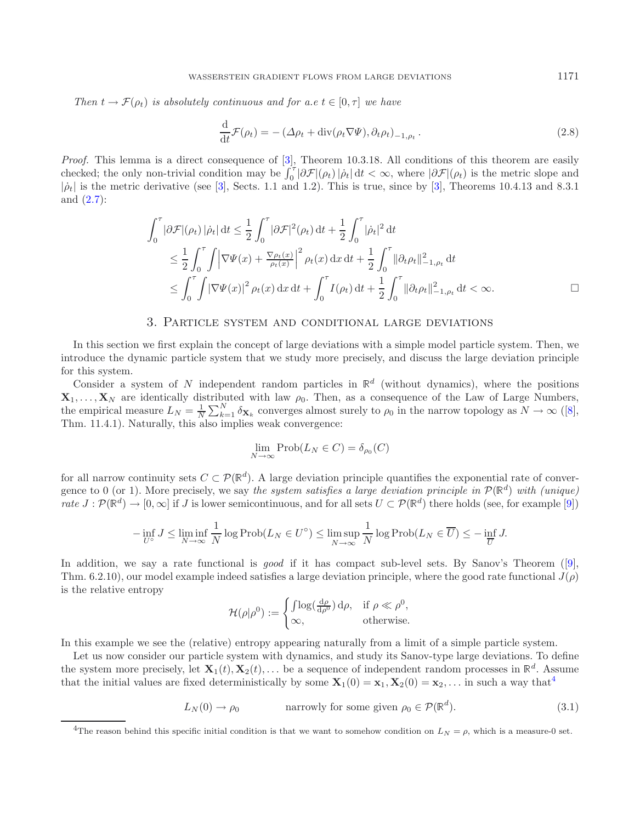*Then*  $t \to \mathcal{F}(\rho_t)$  *is absolutely continuous and for a.e.*  $t \in [0, \tau]$  *we have* 

<span id="page-5-3"></span>
$$
\frac{\mathrm{d}}{\mathrm{d}t}\mathcal{F}(\rho_t) = -\left(\Delta\rho_t + \mathrm{div}(\rho_t \nabla \Psi), \partial_t \rho_t\right)_{-1,\rho_t}.\tag{2.8}
$$

*Proof.* This lemma is a direct consequence of [\[3](#page-21-0)], Theorem 10.3.18. All conditions of this theorem are easily checked; the only non-trivial condition may be  $\int_0^{\tau} |\partial \mathcal{F}|(\rho_t)| \dot{\rho}_t | dt < \infty$ , where  $|\partial \mathcal{F}|(\rho_t)$  is the metric slope and  $|\dot{\rho}_t|$  is the metric derivative (see [\[3\]](#page-21-0), Sects. 1.1 and 1.2). This is true, since by [3], Theorems 10.4.13 and 8.3.1 and [\(2.7\)](#page-4-3):

$$
\int_0^{\tau} |\partial \mathcal{F}|(\rho_t) | \dot{\rho}_t | dt \leq \frac{1}{2} \int_0^{\tau} |\partial \mathcal{F}|^2(\rho_t) dt + \frac{1}{2} \int_0^{\tau} |\dot{\rho}_t|^2 dt
$$
  
\n
$$
\leq \frac{1}{2} \int_0^{\tau} \int \left| \nabla \Psi(x) + \frac{\nabla \rho_t(x)}{\rho_t(x)} \right|^2 \rho_t(x) dx dt + \frac{1}{2} \int_0^{\tau} ||\partial_t \rho_t||_{-1, \rho_t}^2 dt
$$
  
\n
$$
\leq \int_0^{\tau} \int |\nabla \Psi(x)|^2 \rho_t(x) dx dt + \int_0^{\tau} I(\rho_t) dt + \frac{1}{2} \int_0^{\tau} ||\partial_t \rho_t||_{-1, \rho_t}^2 dt < \infty.
$$

#### 3. Particle system and conditional large deviations

<span id="page-5-0"></span>In this section we first explain the concept of large deviations with a simple model particle system. Then, we introduce the dynamic particle system that we study more precisely, and discuss the large deviation principle for this system.

Consider a system of N independent random particles in  $\mathbb{R}^d$  (without dynamics), where the positions  $\mathbf{X}_1,\ldots,\mathbf{X}_N$  are identically distributed with law  $\rho_0$ . Then, as a consequence of the Law of Large Numbers, the empirical measure  $L_N = \frac{1}{N} \sum_{k=1}^N \delta_{\mathbf{X}_k}$  converges almost surely to  $\rho_0$  in the narrow topology as  $N \to \infty$  ([\[8](#page-21-4)], Thm. 11.4.1). Naturally, this also implies weak convergence:

<span id="page-5-2"></span>
$$
\lim_{N \to \infty} \text{Prob}(L_N \in C) = \delta_{\rho_0}(C)
$$

for all narrow continuity sets  $C \subset \mathcal{P}(\mathbb{R}^d)$ . A large deviation principle quantifies the exponential rate of convergence to 0 (or 1). More precisely, we say the system satisfies a large deviation principle in  $\mathcal{P}(\mathbb{R}^d)$  with (unique) *rate*  $J : \mathcal{P}(\mathbb{R}^d) \to [0,\infty]$  if J is lower semicontinuous, and for all sets  $U \subset \mathcal{P}(\mathbb{R}^d)$  there holds (see, for example [\[9](#page-21-8)])

$$
-\inf_{U^{\circ}} J \le \liminf_{N \to \infty} \frac{1}{N} \log \text{Prob}(L_N \in U^{\circ}) \le \limsup_{N \to \infty} \frac{1}{N} \log \text{Prob}(L_N \in \overline{U}) \le -\inf_{\overline{U}} J.
$$

<span id="page-5-1"></span>In addition, we say a rate functional is *good* if it has compact sub-level sets. By Sanov's Theorem ([\[9](#page-21-8)], Thm. 6.2.10), our model example indeed satisfies a large deviation principle, where the good rate functional  $J(\rho)$ is the relative entropy

$$
\mathcal{H}(\rho|\rho^0) := \begin{cases} \int \log(\frac{d\rho}{d\rho^0}) d\rho, & \text{if } \rho \ll \rho^0, \\ \infty, & \text{otherwise.} \end{cases}
$$

In this example we see the (relative) entropy appearing naturally from a limit of a simple particle system.

Let us now consider our particle system with dynamics, and study its Sanov-type large deviations. To define the system more precisely, let  $\mathbf{X}_1(t), \mathbf{X}_2(t),...$  be a sequence of independent random processes in  $\mathbb{R}^d$ . Assume that the initial values are fixed deterministically by some  $\mathbf{X}_1(0) = \mathbf{x}_1, \mathbf{X}_2(0) = \mathbf{x}_2, \dots$  in such a way that<sup>[4](#page-5-1)</sup>

$$
L_N(0) \to \rho_0 \qquad \qquad \text{narrowly for some given } \rho_0 \in \mathcal{P}(\mathbb{R}^d). \tag{3.1}
$$

<sup>&</sup>lt;sup>4</sup>The reason behind this specific initial condition is that we want to somehow condition on  $L_N = \rho$ , which is a measure-0 set.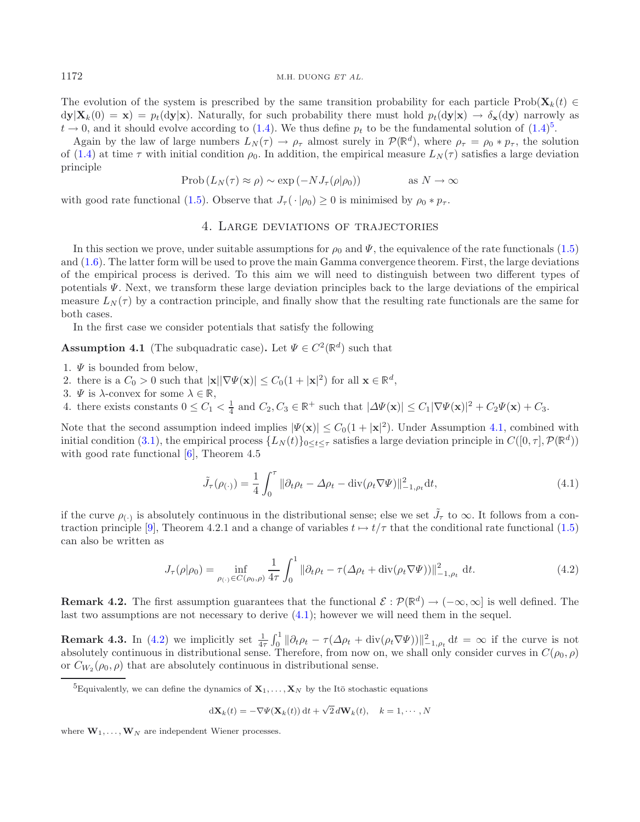The evolution of the system is prescribed by the same transition probability for each particle Prob( $\mathbf{X}_k(t) \in$  $d\mathbf{y}|\mathbf{X}_k(0) = \mathbf{x}) = p_t(d\mathbf{y}|\mathbf{x})$ . Naturally, for such probability there must hold  $p_t(d\mathbf{y}|\mathbf{x}) \to \delta_{\mathbf{x}}(d\mathbf{y})$  narrowly as  $t \to 0$ , and it should evolve according to [\(1.4\)](#page-1-1). We thus define  $p_t$  to be the fundamental solution of (1.4)<sup>[5](#page-6-2)</sup>.

Again by the law of large numbers  $L_N(\tau) \to \rho_\tau$  almost surely in  $\mathcal{P}(\mathbb{R}^d)$ , where  $\rho_\tau = \rho_0 * p_\tau$ , the solution of [\(1.4\)](#page-1-1) at time  $\tau$  with initial condition  $\rho_0$ . In addition, the empirical measure  $L_N(\tau)$  satisfies a large deviation principle

$$
\text{Prob}\left(L_N(\tau) \approx \rho\right) \sim \exp\left(-NJ_\tau(\rho|\rho_0)\right) \quad \text{as } N \to \infty
$$

<span id="page-6-1"></span>with good rate functional [\(1.5\)](#page-1-2). Observe that  $J_{\tau}(\cdot|\rho_0) \geq 0$  is minimised by  $\rho_0 * p_{\tau}$ .

# <span id="page-6-3"></span><span id="page-6-0"></span>4. Large deviations of trajectories

In this section we prove, under suitable assumptions for  $\rho_0$  and  $\Psi$ , the equivalence of the rate functionals [\(1.5\)](#page-1-2) and [\(1.6\)](#page-1-5). The latter form will be used to prove the main Gamma convergence theorem. First, the large deviations of the empirical process is derived. To this aim we will need to distinguish between two different types of potentials Ψ. Next, we transform these large deviation principles back to the large deviations of the empirical measure  $L<sub>N</sub>(\tau)$  by a contraction principle, and finally show that the resulting rate functionals are the same for both cases.

In the first case we consider potentials that satisfy the following

**Assumption 4.1** (The subquadratic case). Let  $\Psi \in C^2(\mathbb{R}^d)$  such that

- 1.  $\Psi$  is bounded from below,
- <span id="page-6-4"></span>2. there is a  $C_0 > 0$  such that  $|\mathbf{x}||\nabla \Psi(\mathbf{x})| \leq C_0(1+|\mathbf{x}|^2)$  for all  $\mathbf{x} \in \mathbb{R}^d$ ,
- 3.  $\Psi$  is  $\lambda$ -convex for some  $\lambda \in \mathbb{R}$ ,
- 4. there exists constants  $0 \leq C_1 < \frac{1}{4}$  and  $C_2, C_3 \in \mathbb{R}^+$  such that  $|\Delta \Psi(\mathbf{x})| \leq C_1 |\nabla \Psi(\mathbf{x})|^2 + C_2 \Psi(\mathbf{x}) + C_3$ .

Note that the second assumption indeed implies  $|\Psi(\mathbf{x})| \leq C_0(1+|\mathbf{x}|^2)$ . Under Assumption [4.1,](#page-6-0) combined with initial condition [\(3.1\)](#page-5-2), the empirical process  $\{L_N(t)\}_{0\leq t\leq \tau}$  satisfies a large deviation principle in  $C([0, \tau], \mathcal{P}(\mathbb{R}^d))$ with good rate functional [\[6\]](#page-21-6), Theorem 4.5

$$
\tilde{J}_{\tau}(\rho_{(\cdot)}) = \frac{1}{4} \int_0^{\tau} \|\partial_t \rho_t - \Delta \rho_t - \operatorname{div}(\rho_t \nabla \Psi)\|_{-1, \rho_t}^2 dt,\tag{4.1}
$$

<span id="page-6-2"></span>if the curve  $\rho_{(\cdot)}$  is absolutely continuous in the distributional sense; else we set  $\tilde{J}_{\tau}$  to  $\infty$ . It follows from a con-traction principle [\[9](#page-21-8)], Theorem 4.2.1 and a change of variables  $t \mapsto t/\tau$  that the conditional rate functional [\(1.5\)](#page-1-2) can also be written as

$$
J_{\tau}(\rho|\rho_0) = \inf_{\rho_{(\cdot)} \in C(\rho_0, \rho)} \frac{1}{4\tau} \int_0^1 \|\partial_t \rho_t - \tau(\Delta \rho_t + \text{div}(\rho_t \nabla \Psi))\|_{-1, \rho_t}^2 dt.
$$
 (4.2)

**Remark 4.2.** The first assumption guarantees that the functional  $\mathcal{E} : \mathcal{P}(\mathbb{R}^d) \to (-\infty, \infty]$  is well defined. The last two assumptions are not necessary to derive  $(4.1)$ ; however we will need them in the sequel.

**Remark 4.3.** In [\(4.2\)](#page-6-4) we implicitly set  $\frac{1}{4\tau} \int_0^1 ||\partial_t \rho_t - \tau(\Delta \rho_t + \text{div}(\rho_t \nabla \Psi))||^2_{-1,\rho_t} dt = \infty$  if the curve is not absolutely continuous in distributional sense. Therefore, from now on, we shall only consider curves in  $C(\rho_0, \rho)$ or  $C_{W_2}(\rho_0, \rho)$  that are absolutely continuous in distributional sense.

$$
d\mathbf{X}_k(t) = -\nabla\Psi(\mathbf{X}_k(t)) dt + \sqrt{2} d\mathbf{W}_k(t), \quad k = 1, \cdots, N
$$

where  $\mathbf{W}_1, \ldots, \mathbf{W}_N$  are independent Wiener processes.

<sup>&</sup>lt;sup>5</sup>Equivalently, we can define the dynamics of  $\mathbf{X}_1,\ldots,\mathbf{X}_N$  by the Itō stochastic equations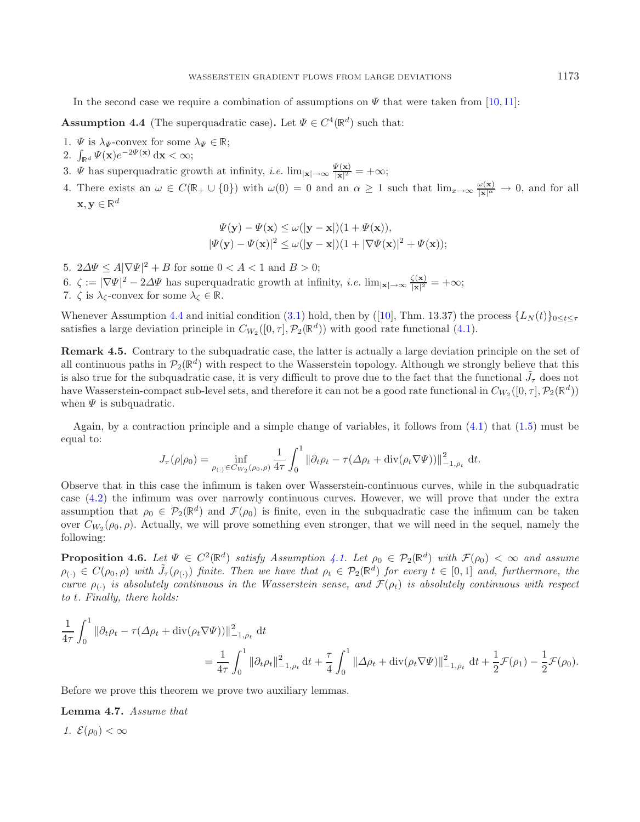In the second case we require a combination of assumptions on  $\Psi$  that were taken from [\[10,](#page-21-9) [11\]](#page-21-10):

**Assumption 4.4** (The superquadratic case). Let  $\Psi \in C^4(\mathbb{R}^d)$  such that:

- 1.  $\Psi$  is  $\lambda_{\Psi}$ -convex for some  $\lambda_{\Psi} \in \mathbb{R}$ ;
- 2.  $\int_{\mathbb{R}^d} \Psi(\mathbf{x}) e^{-2\Psi(\mathbf{x})} \, \mathrm{d}\mathbf{x} < \infty;$

3.  $\Psi$  has superquadratic growth at infinity, *i.e.*  $\lim_{|\mathbf{x}| \to \infty} \frac{\Psi(\mathbf{x})}{|\mathbf{x}|^2} = +\infty$ ;

4. There exists an  $\omega \in C(\mathbb{R}_+ \cup \{0\})$  with  $\omega(0) = 0$  and an  $\alpha \geq 1$  such that  $\lim_{x \to \infty} \frac{\omega(\mathbf{x})}{|\mathbf{x}|^{\alpha}} \to 0$ , and for all  $\mathbf{x}, \mathbf{y} \in \mathbb{R}^d$ 

<span id="page-7-0"></span>
$$
\Psi(\mathbf{y}) - \Psi(\mathbf{x}) \le \omega(|\mathbf{y} - \mathbf{x}|)(1 + \Psi(\mathbf{x})),
$$
  

$$
|\Psi(\mathbf{y}) - \Psi(\mathbf{x})|^2 \le \omega(|\mathbf{y} - \mathbf{x}|)(1 + |\nabla\Psi(\mathbf{x})|^2 + \Psi(\mathbf{x}));
$$

5.  $2\Delta\Psi \le A|\nabla\Psi|^2 + B$  for some  $0 < A < 1$  and  $B > 0$ ;

6.  $\zeta := |\nabla \Psi|^2 - 2\Delta \Psi$  has superquadratic growth at infinity, *i.e.*  $\lim_{|\mathbf{x}| \to \infty} \frac{\zeta(\mathbf{x})}{|\mathbf{x}|^2} = +\infty;$ 

7.  $\zeta$  is  $\lambda_{\zeta}$ -convex for some  $\lambda_{\zeta} \in \mathbb{R}$ .

Whenever Assumption [4.4](#page-7-0) and initial condition [\(3.1\)](#page-5-2) hold, then by ([\[10](#page-21-9)], Thm. 13.37) the process  $\{L_N(t)\}_{0\leq t\leq \tau}$ satisfies a large deviation principle in  $C_{W_2}([0, \tau], \mathcal{P}_2(\mathbb{R}^d))$  with good rate functional [\(4.1\)](#page-6-3).

<span id="page-7-1"></span>**Remark 4.5.** Contrary to the subquadratic case, the latter is actually a large deviation principle on the set of all continuous paths in  $\mathcal{P}_2(\mathbb{R}^d)$  with respect to the Wasserstein topology. Although we strongly believe that this is also true for the subquadratic case, it is very difficult to prove due to the fact that the functional  $\tilde{J}_\tau$  does not have Wasserstein-compact sub-level sets, and therefore it can not be a good rate functional in  $C_{W_2}([0, \tau], \mathcal{P}_2(\mathbb{R}^d))$ when  $\Psi$  is subquadratic.

Again, by a contraction principle and a simple change of variables, it follows from [\(4.1\)](#page-6-3) that [\(1.5\)](#page-1-2) must be equal to:

<span id="page-7-2"></span>
$$
J_{\tau}(\rho|\rho_0) = \inf_{\rho_{(\cdot)} \in C_{W_2}(\rho_0, \rho)} \frac{1}{4\tau} \int_0^1 \|\partial_t \rho_t - \tau(\Delta \rho_t + \text{div}(\rho_t \nabla \Psi))\|_{-1, \rho_t}^2 dt.
$$

Observe that in this case the infimum is taken over Wasserstein-continuous curves, while in the subquadratic case [\(4.2\)](#page-6-4) the infimum was over narrowly continuous curves. However, we will prove that under the extra assumption that  $\rho_0 \in \mathcal{P}_2(\mathbb{R}^d)$  and  $\mathcal{F}(\rho_0)$  is finite, even in the subquadratic case the infimum can be taken over  $C_{W_2}(\rho_0, \rho)$ . Actually, we will prove something even stronger, that we will need in the sequel, namely the following:

**Proposition 4.6.** *Let*  $\Psi \in C^2(\mathbb{R}^d)$  *satisfy Assumption [4.1.](#page-6-0) Let*  $\rho_0 \in \mathcal{P}_2(\mathbb{R}^d)$  *with*  $\mathcal{F}(\rho_0) < \infty$  *and assume*  $\rho_{(\cdot)} \in C(\rho_0, \rho)$  with  $\tilde{J}_{\tau}(\rho_{(\cdot)})$  finite. Then we have that  $\rho_t \in \mathcal{P}_2(\mathbb{R}^d)$  for every  $t \in [0,1]$  and, furthermore, the *curve*  $\rho_{(\cdot)}$  *is absolutely continuous in the Wasserstein sense, and*  $\mathcal{F}(\rho_t)$  *is absolutely continuous with respect to* t*. Finally, there holds:*

$$
\frac{1}{4\tau} \int_0^1 \|\partial_t \rho_t - \tau(\Delta \rho_t + \text{div}(\rho_t \nabla \Psi))\|_{-1,\rho_t}^2 \, \text{d}t \n= \frac{1}{4\tau} \int_0^1 \|\partial_t \rho_t\|_{-1,\rho_t}^2 \, \text{d}t + \frac{\tau}{4} \int_0^1 \|\Delta \rho_t + \text{div}(\rho_t \nabla \Psi)\|_{-1,\rho_t}^2 \, \text{d}t + \frac{1}{2} \mathcal{F}(\rho_1) - \frac{1}{2} \mathcal{F}(\rho_0).
$$

Before we prove this theorem we prove two auxiliary lemmas.

#### **Lemma 4.7.** *Assume that*

*1.*  $\mathcal{E}(\rho_0) < \infty$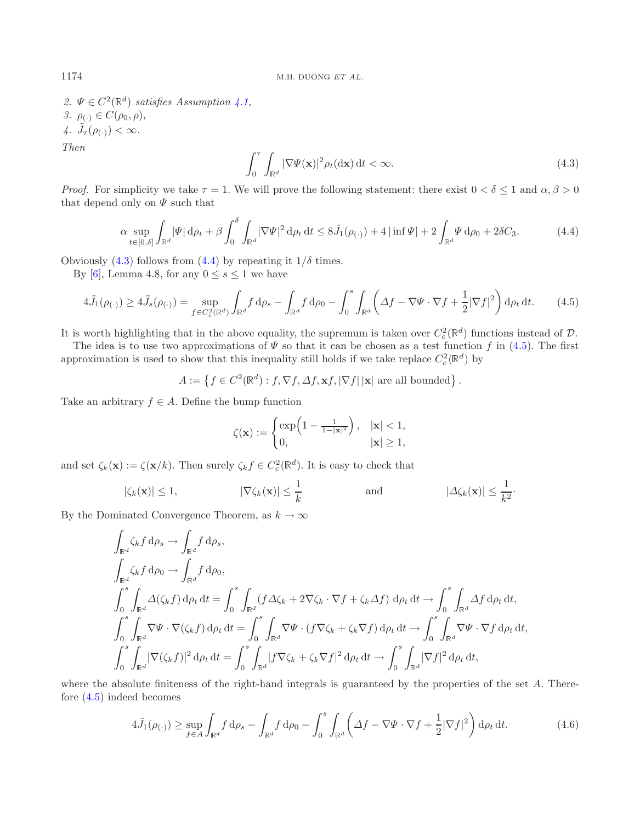2.  $\Psi \in C^2(\mathbb{R}^d)$  *satisfies Assumption [4.1,](#page-6-0) 3.*  $\rho_{(\cdot)} \in C(\rho_0, \rho),$ 4.  $\tilde{J}_{\tau}(\rho_{(\cdot)}) < \infty$ . *Then*  $\mathbf{r}$ 

<span id="page-8-2"></span>
$$
\int_0^\tau \int_{\mathbb{R}^d} |\nabla \Psi(\mathbf{x})|^2 \rho_t(\mathrm{d}\mathbf{x}) \, \mathrm{d}t < \infty. \tag{4.3}
$$

*Proof.* For simplicity we take  $\tau = 1$ . We will prove the following statement: there exist  $0 < \delta \leq 1$  and  $\alpha, \beta > 0$ that depend only on  $\Psi$  such that

$$
\alpha \sup_{t \in [0,\delta]} \int_{\mathbb{R}^d} |\Psi| \, \mathrm{d}\rho_t + \beta \int_0^\delta \int_{\mathbb{R}^d} |\nabla \Psi|^2 \, \mathrm{d}\rho_t \, \mathrm{d}t \le 8 \tilde{J}_1(\rho(\cdot)) + 4 |\inf \Psi| + 2 \int_{\mathbb{R}^d} \Psi \, \mathrm{d}\rho_0 + 2 \delta C_3. \tag{4.4}
$$

Obviously [\(4.3\)](#page-8-0) follows from [\(4.4\)](#page-8-1) by repeating it  $1/\delta$  times.

By [\[6\]](#page-21-6), Lemma 4.8, for any  $0 \leq s \leq 1$  we have

$$
4\tilde{J}_1(\rho_{(\cdot)}) \ge 4\tilde{J}_s(\rho_{(\cdot)}) = \sup_{f \in C_c^2(\mathbb{R}^d)} \int_{\mathbb{R}^d} f \, d\rho_s - \int_{\mathbb{R}^d} f \, d\rho_0 - \int_0^s \int_{\mathbb{R}^d} \left( \Delta f - \nabla \Psi \cdot \nabla f + \frac{1}{2} |\nabla f|^2 \right) d\rho_t \, dt. \tag{4.5}
$$

It is worth highlighting that in the above equality, the supremum is taken over  $C_c^2(\mathbb{R}^d)$  functions instead of  $\mathcal{D}$ .

The idea is to use two approximations of  $\Psi$  so that it can be chosen as a test function f in [\(4.5\)](#page-8-2). The first approximation is used to show that this inequality still holds if we take replace  $C_c^2(\mathbb{R}^d)$  by

 $A := \{ f \in C^2(\mathbb{R}^d) : f, \nabla f, \Delta f, \mathbf{x} f, |\nabla f| \, |\mathbf{x}| \text{ are all bounded} \}.$ 

Take an arbitrary  $f \in A$ . Define the bump function

$$
\zeta(\mathbf{x}) := \begin{cases} \exp\left(1 - \frac{1}{1 - |\mathbf{x}|^2}\right), & |\mathbf{x}| < 1, \\ 0, & |\mathbf{x}| \ge 1, \end{cases}
$$

and set  $\zeta_k(\mathbf{x}) := \zeta(\mathbf{x}/k)$ . Then surely  $\zeta_k f \in C_c^2(\mathbb{R}^d)$ . It is easy to check that

$$
|\zeta_k(\mathbf{x})| \le 1,
$$
  $|\nabla \zeta_k(\mathbf{x})| \le \frac{1}{k}$  and  $|\Delta \zeta_k(\mathbf{x})| \le \frac{1}{k^2}$ .

By the Dominated Convergence Theorem, as  $k \to \infty$ 

<span id="page-8-3"></span>
$$
\int_{\mathbb{R}^d} \zeta_k f d\rho_s \to \int_{\mathbb{R}^d} f d\rho_s,
$$
\n
$$
\int_{\mathbb{R}^d} \zeta_k f d\rho_0 \to \int_{\mathbb{R}^d} f d\rho_0,
$$
\n
$$
\int_0^s \int_{\mathbb{R}^d} \Delta(\zeta_k f) d\rho_t dt = \int_0^s \int_{\mathbb{R}^d} (f \Delta \zeta_k + 2 \nabla \zeta_k \cdot \nabla f + \zeta_k \Delta f) d\rho_t dt \to \int_0^s \int_{\mathbb{R}^d} \Delta f d\rho_t dt,
$$
\n
$$
\int_0^s \int_{\mathbb{R}^d} \nabla \Psi \cdot \nabla(\zeta_k f) d\rho_t dt = \int_0^s \int_{\mathbb{R}^d} \nabla \Psi \cdot (f \nabla \zeta_k + \zeta_k \nabla f) d\rho_t dt \to \int_0^s \int_{\mathbb{R}^d} \nabla \Psi \cdot \nabla f d\rho_t dt,
$$
\n
$$
\int_0^s \int_{\mathbb{R}^d} |\nabla(\zeta_k f)|^2 d\rho_t dt = \int_0^s \int_{\mathbb{R}^d} |f \nabla \zeta_k + \zeta_k \nabla f|^2 d\rho_t dt \to \int_0^s \int_{\mathbb{R}^d} |\nabla f|^2 d\rho_t dt,
$$

where the absolute finiteness of the right-hand integrals is guaranteed by the properties of the set A. Therefore [\(4.5\)](#page-8-2) indeed becomes

$$
4\tilde{J}_1(\rho_{(\cdot)}) \ge \sup_{f \in A} \int_{\mathbb{R}^d} f \, \mathrm{d}\rho_s - \int_{\mathbb{R}^d} f \, \mathrm{d}\rho_0 - \int_0^s \int_{\mathbb{R}^d} \left( \Delta f - \nabla \Psi \cdot \nabla f + \frac{1}{2} |\nabla f|^2 \right) \mathrm{d}\rho_t \, \mathrm{d}t. \tag{4.6}
$$

<span id="page-8-1"></span><span id="page-8-0"></span>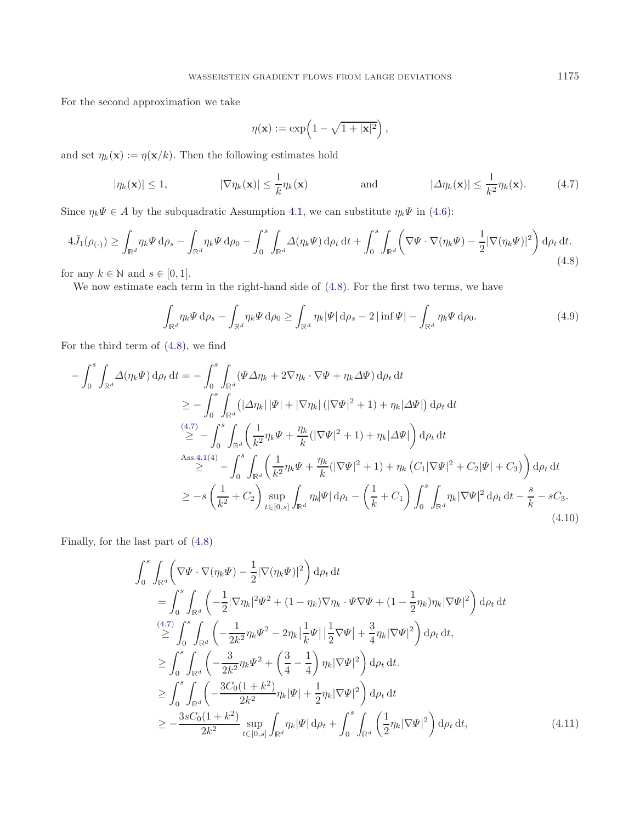For the second approximation we take

<span id="page-9-2"></span><span id="page-9-1"></span><span id="page-9-0"></span>
$$
\eta(\mathbf{x}) := \exp\left(1 - \sqrt{1+|\mathbf{x}|^2}\right),\,
$$

and set  $\eta_k(\mathbf{x}) := \eta(\mathbf{x}/k)$ . Then the following estimates hold

<span id="page-9-3"></span>
$$
|\eta_k(\mathbf{x})| \le 1, \qquad |\nabla \eta_k(\mathbf{x})| \le \frac{1}{k} \eta_k(\mathbf{x}) \qquad \text{and} \qquad |\Delta \eta_k(\mathbf{x})| \le \frac{1}{k^2} \eta_k(\mathbf{x}). \qquad (4.7)
$$

Since  $\eta_k \Psi \in A$  by the subquadratic Assumption [4.1,](#page-6-0) we can substitute  $\eta_k \Psi$  in [\(4.6\)](#page-8-3):

$$
4\tilde{J}_1(\rho_{(\cdot)}) \ge \int_{\mathbb{R}^d} \eta_k \Psi \, \mathrm{d}\rho_s - \int_{\mathbb{R}^d} \eta_k \Psi \, \mathrm{d}\rho_0 - \int_0^s \int_{\mathbb{R}^d} \Delta(\eta_k \Psi) \, \mathrm{d}\rho_t \, \mathrm{d}t + \int_0^s \int_{\mathbb{R}^d} \left( \nabla \Psi \cdot \nabla(\eta_k \Psi) - \frac{1}{2} |\nabla(\eta_k \Psi)|^2 \right) \mathrm{d}\rho_t \, \mathrm{d}t. \tag{4.8}
$$

for any  $k \in \mathbb{N}$  and  $s \in [0, 1]$ .

We now estimate each term in the right-hand side of  $(4.8)$ . For the first two terms, we have

$$
\int_{\mathbb{R}^d} \eta_k \Psi \, \mathrm{d}\rho_s - \int_{\mathbb{R}^d} \eta_k \Psi \, \mathrm{d}\rho_0 \ge \int_{\mathbb{R}^d} \eta_k |\Psi| \, \mathrm{d}\rho_s - 2 \left| \inf \Psi \right| - \int_{\mathbb{R}^d} \eta_k \Psi \, \mathrm{d}\rho_0. \tag{4.9}
$$

For the third term of  $(4.8)$ , we find

<span id="page-9-4"></span>
$$
-\int_{0}^{s} \int_{\mathbb{R}^{d}} \Delta(\eta_{k} \Psi) d\rho_{t} dt = -\int_{0}^{s} \int_{\mathbb{R}^{d}} (\Psi \Delta \eta_{k} + 2\nabla \eta_{k} \cdot \nabla \Psi + \eta_{k} \Delta \Psi) d\rho_{t} dt
$$
  
\n
$$
\geq -\int_{0}^{s} \int_{\mathbb{R}^{d}} (|\Delta \eta_{k}| |\Psi| + |\nabla \eta_{k}| (|\nabla \Psi|^{2} + 1) + \eta_{k} |\Delta \Psi|) d\rho_{t} dt
$$
  
\n
$$
\stackrel{(4.7)}{\geq} - \int_{0}^{s} \int_{\mathbb{R}^{d}} \left( \frac{1}{k^{2}} \eta_{k} \Psi + \frac{\eta_{k}}{k} (|\nabla \Psi|^{2} + 1) + \eta_{k} |\Delta \Psi| \right) d\rho_{t} dt
$$
  
\nAss.4.1(4)  
\n
$$
\geq - \int_{0}^{s} \int_{\mathbb{R}^{d}} \left( \frac{1}{k^{2}} \eta_{k} \Psi + \frac{\eta_{k}}{k} (|\nabla \Psi|^{2} + 1) + \eta_{k} (C_{1} |\nabla \Psi|^{2} + C_{2} |\Psi| + C_{3}) \right) d\rho_{t} dt
$$
  
\n
$$
\geq - s \left( \frac{1}{k^{2}} + C_{2} \right) \sup_{t \in [0, s]} \int_{\mathbb{R}^{d}} \eta_{k} |\Psi| d\rho_{t} - \left( \frac{1}{k} + C_{1} \right) \int_{0}^{s} \int_{\mathbb{R}^{d}} \eta_{k} |\nabla \Psi|^{2} d\rho_{t} dt - \frac{s}{k} - sC_{3}.
$$
  
\n(4.10)

Finally, for the last part of [\(4.8\)](#page-9-0)

$$
\int_{0}^{s} \int_{\mathbb{R}^{d}} \left( \nabla \Psi \cdot \nabla (\eta_{k} \Psi) - \frac{1}{2} |\nabla (\eta_{k} \Psi)|^{2} \right) d\rho_{t} dt
$$
\n
$$
= \int_{0}^{s} \int_{\mathbb{R}^{d}} \left( -\frac{1}{2} |\nabla \eta_{k}|^{2} \Psi^{2} + (1 - \eta_{k}) \nabla \eta_{k} \cdot \Psi \nabla \Psi + (1 - \frac{1}{2} \eta_{k}) \eta_{k} |\nabla \Psi|^{2} \right) d\rho_{t} dt
$$
\n
$$
\stackrel{(4.7)}{\geq} \int_{0}^{s} \int_{\mathbb{R}^{d}} \left( -\frac{1}{2k^{2}} \eta_{k} \Psi^{2} - 2 \eta_{k} \left| \frac{1}{k} \Psi \right| \left| \frac{1}{2} \nabla \Psi \right| + \frac{3}{4} \eta_{k} |\nabla \Psi|^{2} \right) d\rho_{t} dt
$$
\n
$$
\geq \int_{0}^{s} \int_{\mathbb{R}^{d}} \left( -\frac{3}{2k^{2}} \eta_{k} \Psi^{2} + \left( \frac{3}{4} - \frac{1}{4} \right) \eta_{k} |\nabla \Psi|^{2} \right) d\rho_{t} dt
$$
\n
$$
\geq \int_{0}^{s} \int_{\mathbb{R}^{d}} \left( -\frac{3C_{0}(1 + k^{2})}{2k^{2}} \eta_{k} |\Psi| + \frac{1}{2} \eta_{k} |\nabla \Psi|^{2} \right) d\rho_{t} dt
$$
\n
$$
\geq -\frac{3sC_{0}(1 + k^{2})}{2k^{2}} \sup_{t \in [0, s]} \int_{\mathbb{R}^{d}} \eta_{k} |\Psi| d\rho_{t} + \int_{0}^{s} \int_{\mathbb{R}^{d}} \left( \frac{1}{2} \eta_{k} |\nabla \Psi|^{2} \right) d\rho_{t} dt, \tag{4.11}
$$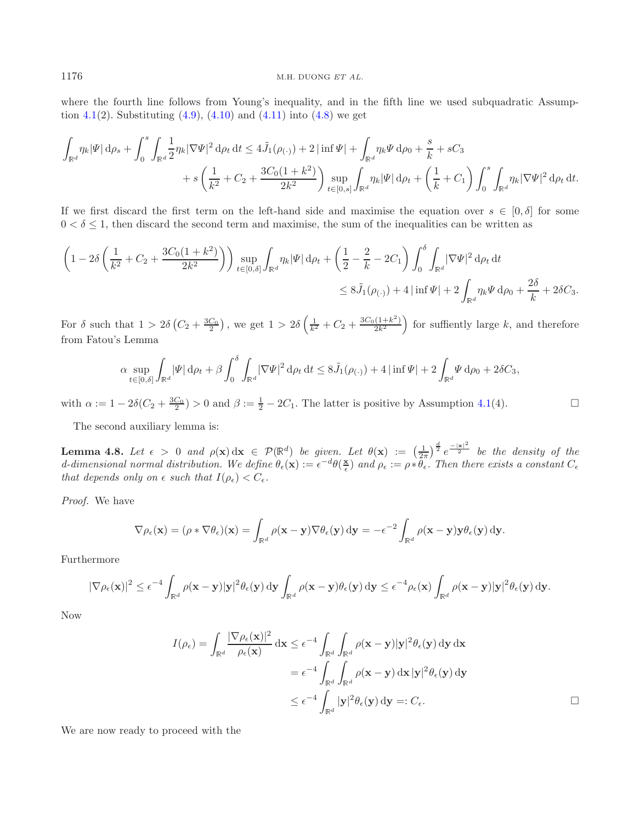where the fourth line follows from Young's inequality, and in the fifth line we used subquadratic Assump-tion [4.1\(](#page-6-0)2). Substituting  $(4.9)$ ,  $(4.10)$  and  $(4.11)$  into  $(4.8)$  we get

$$
\int_{\mathbb{R}^d} \eta_k |\Psi| \, \mathrm{d}\rho_s + \int_0^s \int_{\mathbb{R}^d} \frac{1}{2} \eta_k |\nabla \Psi|^2 \, \mathrm{d}\rho_t \, \mathrm{d}t \le 4 \tilde{J}_1(\rho_{(\cdot)}) + 2 |\inf \Psi| + \int_{\mathbb{R}^d} \eta_k \Psi \, \mathrm{d}\rho_0 + \frac{s}{k} + sC_3 + s \left( \frac{1}{k^2} + C_2 + \frac{3C_0(1+k^2)}{2k^2} \right) \sup_{t \in [0,s]} \int_{\mathbb{R}^d} \eta_k |\Psi| \, \mathrm{d}\rho_t + \left( \frac{1}{k} + C_1 \right) \int_0^s \int_{\mathbb{R}^d} \eta_k |\nabla \Psi|^2 \, \mathrm{d}\rho_t \, \mathrm{d}t.
$$

If we first discard the first term on the left-hand side and maximise the equation over  $s \in [0, \delta]$  for some  $0 < \delta \leq 1$ , then discard the second term and maximise, the sum of the inequalities can be written as

<span id="page-10-0"></span>
$$
\left(1 - 2\delta\left(\frac{1}{k^2} + C_2 + \frac{3C_0(1+k^2)}{2k^2}\right)\right) \sup_{t \in [0,\delta]} \int_{\mathbb{R}^d} \eta_k |\Psi| \,d\rho_t + \left(\frac{1}{2} - \frac{2}{k} - 2C_1\right) \int_0^{\delta} \int_{\mathbb{R}^d} |\nabla \Psi|^2 \,d\rho_t \,dt
$$
  
\$\leq 8\tilde{J}\_1(\rho\_{(\cdot)}) + 4 |\inf \Psi| + 2 \int\_{\mathbb{R}^d} \eta\_k \Psi \,d\rho\_0 + \frac{2\delta}{k} + 2\delta C\_3.

For  $\delta$  such that  $1 > 2\delta \left( C_2 + \frac{3C_0}{2} \right)$ , we get  $1 > 2\delta \left( \frac{1}{k^2} + C_2 + \frac{3C_0(1+k^2)}{2k^2} \right)$  for suffiently large k, and therefore from Fatou's Lemma

$$
\alpha \sup_{t \in [0,\delta]} \int_{\mathbb{R}^d} |\Psi| \, \mathrm{d}\rho_t + \beta \int_0^\delta \int_{\mathbb{R}^d} |\nabla \Psi|^2 \, \mathrm{d}\rho_t \, \mathrm{d}t \le 8 \tilde{J}_1(\rho_{(\cdot)}) + 4 |\inf \Psi| + 2 \int_{\mathbb{R}^d} \Psi \, \mathrm{d}\rho_0 + 2 \delta C_3,
$$

with  $\alpha := 1 - 2\delta(C_2 + \frac{3C_0}{2}) > 0$  and  $\beta := \frac{1}{2} - 2C_1$ . The latter is positive by Assumption [4.1\(](#page-6-0)4).

The second auxiliary lemma is:

**Lemma 4.8.** Let  $\epsilon > 0$  and  $\rho(\mathbf{x}) dx \in \mathcal{P}(\mathbb{R}^d)$  be given. Let  $\theta(\mathbf{x}) := \left(\frac{1}{2\pi}\right)^{\frac{d}{2}} e^{-\frac{|\mathbf{x}|^2}{2}}$  be the density of the  $d$ -dimensional normal distribution. We define  $\theta_{\epsilon}(\mathbf{x}) := \epsilon^{-d} \theta(\frac{\mathbf{x}}{\epsilon})$  and  $\rho_{\epsilon} := \rho * \theta_{\epsilon}$ . Then there exists a constant  $C_{\epsilon}$ *that depends only on*  $\epsilon$  *such that*  $I(\rho_{\epsilon}) < C_{\epsilon}$ .

*Proof.* We have

$$
\nabla \rho_{\epsilon}(\mathbf{x}) = (\rho * \nabla \theta_{\epsilon})(\mathbf{x}) = \int_{\mathbb{R}^d} \rho(\mathbf{x} - \mathbf{y}) \nabla \theta_{\epsilon}(\mathbf{y}) \, d\mathbf{y} = -\epsilon^{-2} \int_{\mathbb{R}^d} \rho(\mathbf{x} - \mathbf{y}) \mathbf{y} \theta_{\epsilon}(\mathbf{y}) \, d\mathbf{y}.
$$

Furthermore

$$
|\nabla \rho_\epsilon(\mathbf{x})|^2 \leq \epsilon^{-4} \int_{\mathbb{R}^d} \rho(\mathbf{x}-\mathbf{y}) |\mathbf{y}|^2 \theta_\epsilon(\mathbf{y}) \, \mathrm{d}\mathbf{y} \int_{\mathbb{R}^d} \rho(\mathbf{x}-\mathbf{y}) \theta_\epsilon(\mathbf{y}) \, \mathrm{d}\mathbf{y} \leq \epsilon^{-4} \rho_\epsilon(\mathbf{x}) \int_{\mathbb{R}^d} \rho(\mathbf{x}-\mathbf{y}) |\mathbf{y}|^2 \theta_\epsilon(\mathbf{y}) \, \mathrm{d}\mathbf{y}.
$$

Now

$$
I(\rho_{\epsilon}) = \int_{\mathbb{R}^d} \frac{|\nabla \rho_{\epsilon}(\mathbf{x})|^2}{\rho_{\epsilon}(\mathbf{x})} d\mathbf{x} \leq \epsilon^{-4} \int_{\mathbb{R}^d} \int_{\mathbb{R}^d} \rho(\mathbf{x} - \mathbf{y}) |\mathbf{y}|^2 \theta_{\epsilon}(\mathbf{y}) d\mathbf{y} d\mathbf{x}
$$
  
\n
$$
= \epsilon^{-4} \int_{\mathbb{R}^d} \int_{\mathbb{R}^d} \rho(\mathbf{x} - \mathbf{y}) d\mathbf{x} |\mathbf{y}|^2 \theta_{\epsilon}(\mathbf{y}) d\mathbf{y}
$$
  
\n
$$
\leq \epsilon^{-4} \int_{\mathbb{R}^d} |\mathbf{y}|^2 \theta_{\epsilon}(\mathbf{y}) d\mathbf{y} =: C_{\epsilon}.
$$

 $\Box$ 

We are now ready to proceed with the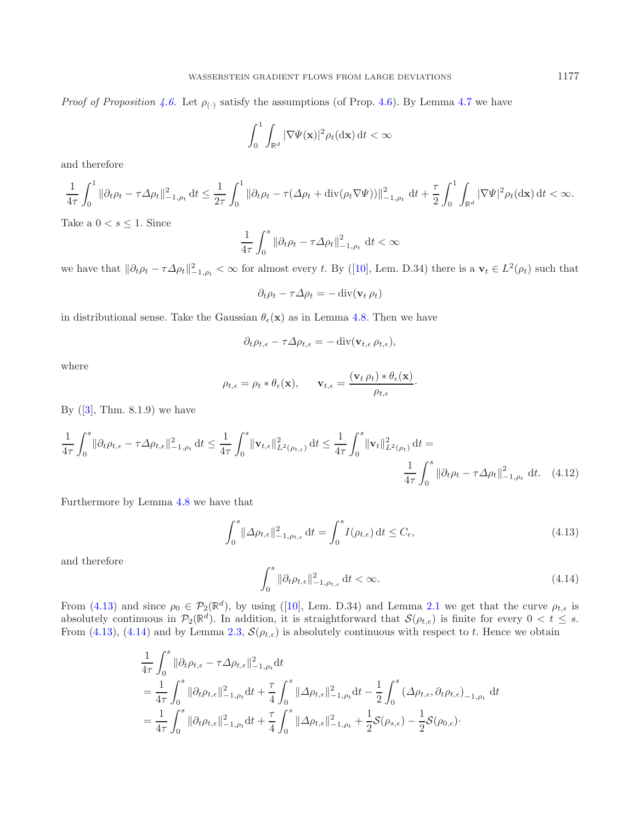*Proof of Proposition* [4.6.](#page-7-1) Let  $\rho_{(\cdot)}$  satisfy the assumptions (of Prop. [4.6\)](#page-7-1). By Lemma [4.7](#page-7-2) we have

$$
\int_0^1 \int_{\mathbb{R}^d} |\nabla \Psi(\mathbf{x})|^2 \rho_t(\mathrm{d}\mathbf{x}) \, \mathrm{d}t < \infty
$$

and therefore

$$
\frac{1}{4\tau}\int_0^1\|\partial_t\rho_t-\tau\Delta\rho_t\|_{-1,\rho_t}^2\,\mathrm{d} t\leq \frac{1}{2\tau}\int_0^1\|\partial_t\rho_t-\tau(\Delta\rho_t+\operatorname{div}(\rho_t\nabla\Psi))\|_{-1,\rho_t}^2\,\,\mathrm{d} t+\frac{\tau}{2}\int_0^1\int_{\mathbb{R}^d}|\nabla\Psi|^2\rho_t(\mathrm{d} \mathbf{x})\,\mathrm{d} t<\infty.
$$

Take a  $0 < s \leq 1$ . Since

$$
\frac{1}{4\tau} \int_0^s \left\| \partial_t \rho_t - \tau \Delta \rho_t \right\|_{-1,\rho_t}^2 dt < \infty
$$

we have that  $\|\partial_t \rho_t - \tau \Delta \rho_t\|_{-1,\rho_t}^2 < \infty$  for almost every t. By ([\[10](#page-21-9)], Lem. D.34) there is a  $\mathbf{v}_t \in L^2(\rho_t)$  such that

<span id="page-11-2"></span>
$$
\partial_t \rho_t - \tau \Delta \rho_t = - \operatorname{div}(\mathbf{v}_t \, \rho_t)
$$

in distributional sense. Take the Gaussian  $\theta_{\epsilon}(\mathbf{x})$  as in Lemma [4.8.](#page-10-0) Then we have

$$
\partial_t \rho_{t,\epsilon} - \tau \Delta \rho_{t,\epsilon} = -\operatorname{div}(\mathbf{v}_{t,\epsilon} \rho_{t,\epsilon}),
$$

where

<span id="page-11-0"></span>
$$
\rho_{t,\epsilon} = \rho_t * \theta_{\epsilon}(\mathbf{x}), \qquad \mathbf{v}_{t,\epsilon} = \frac{(\mathbf{v}_t \,\rho_t) * \theta_{\epsilon}(\mathbf{x})}{\rho_{t,\epsilon}}.
$$

<span id="page-11-1"></span>By  $([3], Thm. 8.1.9)$  $([3], Thm. 8.1.9)$  $([3], Thm. 8.1.9)$  we have

$$
\frac{1}{4\tau} \int_0^s \|\partial_t \rho_{t,\epsilon} - \tau \Delta \rho_{t,\epsilon}\|_{-1,\rho_t}^2 dt \le \frac{1}{4\tau} \int_0^s \|\mathbf{v}_{t,\epsilon}\|_{L^2(\rho_{t,\epsilon})}^2 dt \le \frac{1}{4\tau} \int_0^s \|\mathbf{v}_t\|_{L^2(\rho_t)}^2 dt = \frac{1}{4\tau} \int_0^s \|\partial_t \rho_t - \tau \Delta \rho_t\|_{-1,\rho_t}^2 dt. \tag{4.12}
$$

Furthermore by Lemma [4.8](#page-10-0) we have that

$$
\int_0^s \|\Delta \rho_{t,\epsilon}\|_{-1,\rho_{t,\epsilon}}^2 \,\mathrm{d}t = \int_0^s I(\rho_{t,\epsilon}) \,\mathrm{d}t \le C_\epsilon,\tag{4.13}
$$

and therefore

$$
\int_0^s \|\partial_t \rho_{t,\epsilon}\|_{-1,\rho_{t,\epsilon}}^2 \, \mathrm{d}t < \infty. \tag{4.14}
$$

From [\(4.13\)](#page-11-0) and since  $\rho_0 \in \mathcal{P}_2(\mathbb{R}^d)$ , by using ([\[10](#page-21-9)], Lem. D.34) and Lemma [2.1](#page-3-0) we get that the curve  $\rho_{t,\epsilon}$  is absolutely continuous in  $\mathcal{P}_2(\mathbb{R}^d)$ . In addition, it is straightforward that  $\mathcal{S}(\rho_{t,\epsilon})$  is finite for every  $0 < t \leq s$ . From [\(4.13\)](#page-11-0), [\(4.14\)](#page-11-1) and by Lemma [2.3,](#page-4-4)  $\mathcal{S}(\rho_{t,\epsilon})$  is absolutely continuous with respect to t. Hence we obtain

$$
\frac{1}{4\tau} \int_0^s \|\partial_t \rho_{t,\epsilon} - \tau \Delta \rho_{t,\epsilon}\|_{-1,\rho_t}^2 dt \n= \frac{1}{4\tau} \int_0^s \|\partial_t \rho_{t,\epsilon}\|_{-1,\rho_t}^2 dt + \frac{\tau}{4} \int_0^s \|\Delta \rho_{t,\epsilon}\|_{-1,\rho_t}^2 dt - \frac{1}{2} \int_0^s (\Delta \rho_{t,\epsilon}, \partial_t \rho_{t,\epsilon})_{-1,\rho_t} dt \n= \frac{1}{4\tau} \int_0^s \|\partial_t \rho_{t,\epsilon}\|_{-1,\rho_t}^2 dt + \frac{\tau}{4} \int_0^s \|\Delta \rho_{t,\epsilon}\|_{-1,\rho_t}^2 + \frac{1}{2} S(\rho_{s,\epsilon}) - \frac{1}{2} S(\rho_{0,\epsilon}).
$$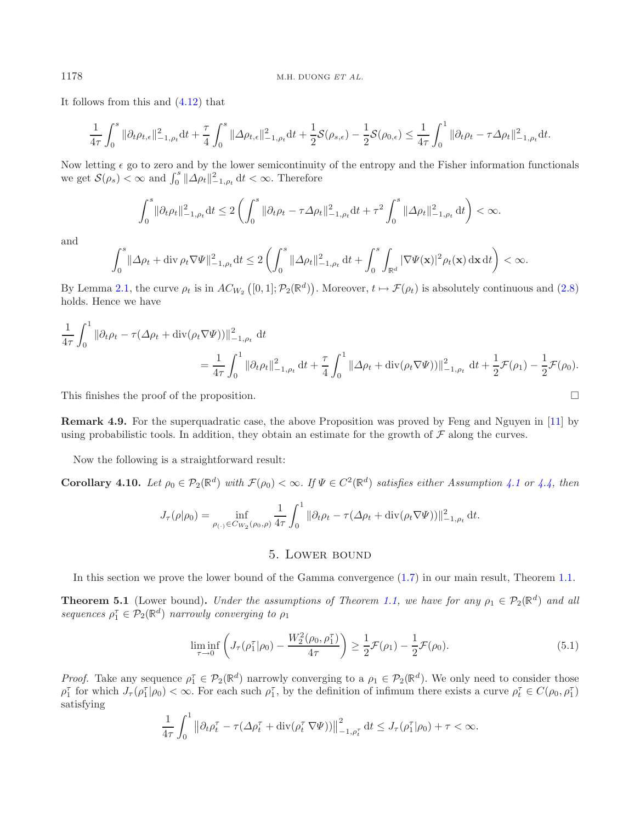It follows from this and [\(4.12\)](#page-11-2) that

$$
\frac{1}{4\tau}\int_0^s\|\partial_t\rho_{t,\epsilon}\|_{-1,\rho_t}^2\text{d} t+\frac{\tau}{4}\int_0^s\|\Delta\rho_{t,\epsilon}\|_{-1,\rho_t}^2\text{d} t+\frac{1}{2}\mathcal{S}(\rho_{s,\epsilon})-\frac{1}{2}\mathcal{S}(\rho_{0,\epsilon})\leq\frac{1}{4\tau}\int_0^1\|\partial_t\rho_{t}-\tau\Delta\rho_{t}\|_{-1,\rho_{t}}^2\text{d} t.
$$

Now letting  $\epsilon$  go to zero and by the lower semicontinuity of the entropy and the Fisher information functionals we get  $S(\rho_s) < \infty$  and  $\int_0^s ||\Delta \rho_t||_{-1,\rho_t}^2 dt < \infty$ . Therefore

$$
\int_0^s \|\partial_t \rho_t\|_{-1,\rho_t}^2 dt \le 2 \left( \int_0^s \|\partial_t \rho_t - \tau \Delta \rho_t\|_{-1,\rho_t}^2 dt + \tau^2 \int_0^s \|\Delta \rho_t\|_{-1,\rho_t}^2 dt \right) < \infty.
$$

and

$$
\int_0^s \|\Delta \rho_t + \operatorname{div} \rho_t \nabla \Psi\|_{-1,\rho_t}^2 \mathrm{d}t \leq 2 \left( \int_0^s \|\Delta \rho_t\|_{-1,\rho_t}^2 \mathrm{d}t + \int_0^s \int_{\mathbb{R}^d} |\nabla \Psi(\mathbf{x})|^2 \rho_t(\mathbf{x}) \mathrm{d}\mathbf{x} \mathrm{d}t \right) < \infty.
$$

By Lemma [2.1,](#page-3-0) the curve  $\rho_t$  is in  $AC_{W_2}([0,1]; \mathcal{P}_2(\mathbb{R}^d))$ . Moreover,  $t \mapsto \mathcal{F}(\rho_t)$  is absolutely continuous and  $(2.8)$ holds. Hence we have

$$
\frac{1}{4\tau} \int_0^1 \|\partial_t \rho_t - \tau(\Delta \rho_t + \text{div}(\rho_t \nabla \Psi))\|_{-1,\rho_t}^2 dt
$$
\n
$$
= \frac{1}{4\tau} \int_0^1 \|\partial_t \rho_t\|_{-1,\rho_t}^2 dt + \frac{\tau}{4} \int_0^1 \|\Delta \rho_t + \text{div}(\rho_t \nabla \Psi))\|_{-1,\rho_t}^2 dt + \frac{1}{2} \mathcal{F}(\rho_1) - \frac{1}{2} \mathcal{F}(\rho_0).
$$

This finishes the proof of the proposition.  $\Box$ 

**Remark 4.9.** For the superquadratic case, the above Proposition was proved by Feng and Nguyen in [\[11\]](#page-21-10) by using probabilistic tools. In addition, they obtain an estimate for the growth of  $\mathcal F$  along the curves.

Now the following is a straightforward result:

**Corollary [4.1](#page-6-0)0.** *Let*  $\rho_0 \in \mathcal{P}_2(\mathbb{R}^d)$  *with*  $\mathcal{F}(\rho_0) < \infty$ *. If*  $\Psi \in C^2(\mathbb{R}^d)$  *satisfies either Assumption 4.1 or [4.4,](#page-7-0) then* 

<span id="page-12-2"></span>
$$
J_{\tau}(\rho|\rho_0) = \inf_{\rho_{(\cdot)} \in C_{W_2}(\rho_0, \rho)} \frac{1}{4\tau} \int_0^1 \|\partial_t \rho_t - \tau(\Delta \rho_t + \text{div}(\rho_t \nabla \Psi))\|_{-1, \rho_t}^2 dt.
$$

# <span id="page-12-0"></span>5. Lower bound

<span id="page-12-1"></span>In this section we prove the lower bound of the Gamma convergence [\(1.7\)](#page-2-1) in our main result, Theorem [1.1.](#page-1-4)

**Theorem 5.1** (Lower bound). *Under the assumptions of Theorem [1.1,](#page-1-4) we have for any*  $\rho_1 \in \mathcal{P}_2(\mathbb{R}^d)$  *and all*  $sequences \rho_1^{\tau} \in \mathcal{P}_2(\mathbb{R}^d)$  *narrowly converging to*  $\rho_1$ 

$$
\liminf_{\tau \to 0} \left( J_{\tau}(\rho_1^{\tau} | \rho_0) - \frac{W_2^2(\rho_0, \rho_1^{\tau})}{4\tau} \right) \ge \frac{1}{2} \mathcal{F}(\rho_1) - \frac{1}{2} \mathcal{F}(\rho_0).
$$
\n(5.1)

*Proof.* Take any sequence  $\rho_1^{\tau} \in \mathcal{P}_2(\mathbb{R}^d)$  narrowly converging to a  $\rho_1 \in \mathcal{P}_2(\mathbb{R}^d)$ . We only need to consider those  $\rho_1^{\tau}$  for which  $J_{\tau}(\rho_1^{\tau}|\rho_0) < \infty$ . For each such  $\rho_1^{\tau}$ , by the definition of infimum there exists a curve  $\rho_t^{\tau} \in C(\rho_0, \rho_1^{\tau})$ satisfying

$$
\frac{1}{4\tau}\int_0^1 \left\|\partial_t \rho_t^{\tau} - \tau(\Delta \rho_t^{\tau} + \operatorname{div}(\rho_t^{\tau} \nabla \Psi))\right\|_{-1,\rho_t^{\tau}}^2 dt \le J_{\tau}(\rho_1^{\tau}|\rho_0) + \tau < \infty.
$$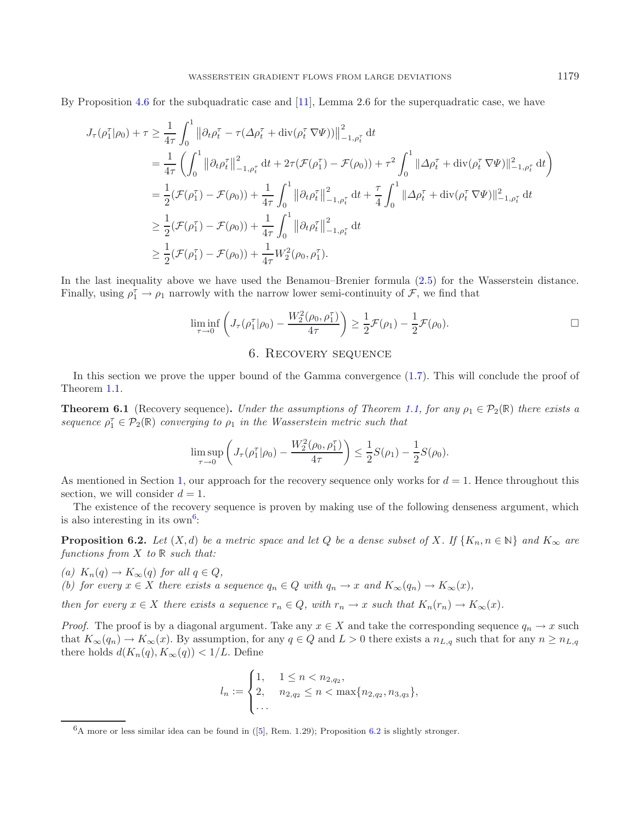By Proposition [4.6](#page-7-1) for the subquadratic case and [\[11\]](#page-21-10), Lemma 2.6 for the superquadratic case, we have

$$
J_{\tau}(\rho_{1}^{\tau}|\rho_{0}) + \tau \geq \frac{1}{4\tau} \int_{0}^{1} \left\| \partial_{t}\rho_{t}^{\tau} - \tau(\Delta\rho_{t}^{\tau} + \text{div}(\rho_{t}^{\tau}\nabla\Psi)) \right\|_{-1,\rho_{t}^{\tau}}^{2} dt
$$
  
\n
$$
= \frac{1}{4\tau} \left( \int_{0}^{1} \left\| \partial_{t}\rho_{t}^{\tau} \right\|_{-1,\rho_{t}^{\tau}}^{2} dt + 2\tau(\mathcal{F}(\rho_{1}^{\tau}) - \mathcal{F}(\rho_{0})) + \tau^{2} \int_{0}^{1} \|\Delta\rho_{t}^{\tau} + \text{div}(\rho_{t}^{\tau}\nabla\Psi) \|_{-1,\rho_{t}^{\tau}}^{2} dt \right)
$$
  
\n
$$
= \frac{1}{2} (\mathcal{F}(\rho_{1}^{\tau}) - \mathcal{F}(\rho_{0})) + \frac{1}{4\tau} \int_{0}^{1} \left\| \partial_{t}\rho_{t}^{\tau} \right\|_{-1,\rho_{t}^{\tau}}^{2} dt + \frac{\tau}{4} \int_{0}^{1} \|\Delta\rho_{t}^{\tau} + \text{div}(\rho_{t}^{\tau}\nabla\Psi) \|_{-1,\rho_{t}^{\tau}}^{2} dt
$$
  
\n
$$
\geq \frac{1}{2} (\mathcal{F}(\rho_{1}^{\tau}) - \mathcal{F}(\rho_{0})) + \frac{1}{4\tau} \int_{0}^{1} \left\| \partial_{t}\rho_{t}^{\tau} \right\|_{-1,\rho_{t}^{\tau}}^{2} dt
$$
  
\n
$$
\geq \frac{1}{2} (\mathcal{F}(\rho_{1}^{\tau}) - \mathcal{F}(\rho_{0})) + \frac{1}{4\tau} W_{2}^{2}(\rho_{0}, \rho_{1}^{\tau}).
$$

<span id="page-13-0"></span>In the last inequality above we have used the Benamou–Brenier formula [\(2.5\)](#page-4-5) for the Wasserstein distance. Finally, using  $\rho_1^{\tau} \to \rho_1$  narrowly with the narrow lower semi-continuity of  $\mathcal{F}$ , we find that

$$
\liminf_{\tau \to 0} \left( J_{\tau}(\rho_1^{\tau}|\rho_0) - \frac{W_2^2(\rho_0, \rho_1^{\tau})}{4\tau} \right) \ge \frac{1}{2} \mathcal{F}(\rho_1) - \frac{1}{2} \mathcal{F}(\rho_0).
$$

## 6. Recovery sequence

<span id="page-13-3"></span><span id="page-13-1"></span>In this section we prove the upper bound of the Gamma convergence [\(1.7\)](#page-2-1). This will conclude the proof of Theorem [1.1.](#page-1-4)

**Theorem 6.1** (Recovery sequence). *Under the assumptions of Theorem [1.1,](#page-1-4) for any*  $\rho_1 \in \mathcal{P}_2(\mathbb{R})$  *there exists a sequence*  $\rho_1^{\tau} \in \mathcal{P}_2(\mathbb{R})$  *converging to*  $\rho_1$  *in the Wasserstein metric such that* 

$$
\limsup_{\tau \to 0} \left( J_{\tau}(\rho_1^{\tau} | \rho_0) - \frac{W_2^2(\rho_0, \rho_1^{\tau})}{4\tau} \right) \le \frac{1}{2} S(\rho_1) - \frac{1}{2} S(\rho_0).
$$

As mentioned in Section [1,](#page-0-1) our approach for the recovery sequence only works for  $d = 1$ . Hence throughout this section, we will consider  $d = 1$ .

The existence of the recovery sequence is proven by making use of the following denseness argument, which is also interesting in its  $own<sup>6</sup>$  $own<sup>6</sup>$  $own<sup>6</sup>$ :

**Proposition 6.2.** *Let*  $(X,d)$  *be a metric space and let*  $Q$  *be a dense subset of*  $X$ *. If*  $\{K_n, n \in \mathbb{N}\}\$  *and*  $K_\infty$  *are functions from* X *to*  $\mathbb R$  *such that:* 

<span id="page-13-2"></span>*(a)*  $K_n(q) \to K_\infty(q)$  *for all*  $q \in Q$ *, (b)* for every  $x \in X$  there exists a sequence  $q_n \in Q$  with  $q_n \to x$  and  $K_\infty(q_n) \to K_\infty(x)$ ,

*then for every*  $x \in X$  *there exists a sequence*  $r_n \in Q$ *, with*  $r_n \to x$  *such that*  $K_n(r_n) \to K_\infty(x)$ *.* 

*Proof.* The proof is by a diagonal argument. Take any  $x \in X$  and take the corresponding sequence  $q_n \to x$  such that  $K_{\infty}(q_n) \to K_{\infty}(x)$ . By assumption, for any  $q \in Q$  and  $L > 0$  there exists a  $n_{L,q}$  such that for any  $n \geq n_{L,q}$ there holds  $d(K_n(q), K_\infty(q)) < 1/L$ . Define

$$
l_n := \begin{cases} 1, & 1 \le n < n_{2,q_2}, \\ 2, & n_{2,q_2} \le n < \max\{n_{2,q_2}, n_{3,q_3}\}, \\ \dots \end{cases}
$$

 $6A$  more or less similar idea can be found in ([\[5\]](#page-21-5), Rem. 1.29); Proposition [6.2](#page-13-3) is slightly stronger.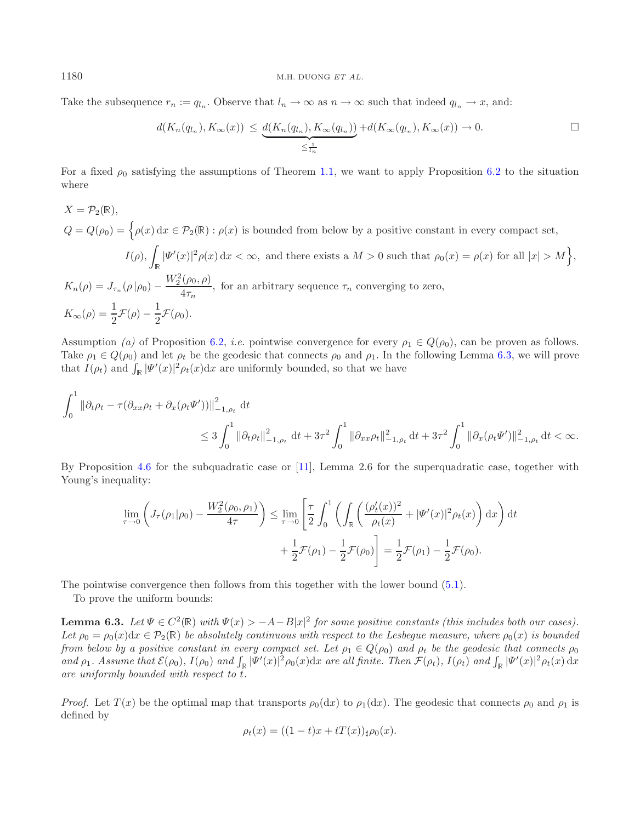Take the subsequence  $r_n := q_{l_n}$ . Observe that  $l_n \to \infty$  as  $n \to \infty$  such that indeed  $q_{l_n} \to x$ , and:

$$
d(K_n(q_{l_n}), K_\infty(x)) \leq \underbrace{d(K_n(q_{l_n}), K_\infty(q_{l_n}))}_{\leq \frac{1}{l_n}} + d(K_\infty(q_{l_n}), K_\infty(x)) \to 0.
$$

For a fixed  $\rho_0$  satisfying the assumptions of Theorem [1.1,](#page-1-4) we want to apply Proposition [6.2](#page-13-3) to the situation where

$$
X = \mathcal{P}_2(\mathbb{R}),
$$
  
\n
$$
Q = Q(\rho_0) = \left\{ \rho(x) dx \in \mathcal{P}_2(\mathbb{R}) : \rho(x) \text{ is bounded from below by a positive constant in every compact set,}
$$
  
\n
$$
I(\rho), \int_{\mathbb{R}} |\Psi'(x)|^2 \rho(x) dx < \infty, \text{ and there exists a } M > 0 \text{ such that } \rho_0(x) = \rho(x) \text{ for all } |x| > M \right\},
$$
  
\n
$$
K_n(\rho) = J_{\tau_n}(\rho|\rho_0) - \frac{W_2^2(\rho_0, \rho)}{4\tau_n}, \text{ for an arbitrary sequence } \tau_n \text{ converging to zero,}
$$
  
\n
$$
K_{\infty}(\rho) = \frac{1}{2} \mathcal{F}(\rho) - \frac{1}{2} \mathcal{F}(\rho_0).
$$

Assumption *(a)* of Proposition [6.2,](#page-13-3) *i.e.* pointwise convergence for every  $\rho_1 \in Q(\rho_0)$ , can be proven as follows. Take  $\rho_1 \in Q(\rho_0)$  and let  $\rho_t$  be the geodesic that connects  $\rho_0$  and  $\rho_1$ . In the following Lemma [6.3,](#page-14-0) we will prove that  $I(\rho_t)$  and  $\int_{\mathbb{R}} |\Psi'(x)|^2 \rho_t(x) dx$  are uniformly bounded, so that we have

$$
\int_0^1 \|\partial_t \rho_t - \tau (\partial_{xx} \rho_t + \partial_x (\rho_t \Psi'))\|_{-1,\rho_t}^2 \, \mathrm{d}t \n\leq 3 \int_0^1 \|\partial_t \rho_t\|_{-1,\rho_t}^2 \, \mathrm{d}t + 3\tau^2 \int_0^1 \|\partial_{xx} \rho_t\|_{-1,\rho_t}^2 \, \mathrm{d}t + 3\tau^2 \int_0^1 \|\partial_x (\rho_t \Psi')\|_{-1,\rho_t}^2 \, \mathrm{d}t < \infty.
$$

By Proposition [4.6](#page-7-1) for the subquadratic case or [\[11\]](#page-21-10), Lemma 2.6 for the superquadratic case, together with Young's inequality:

<span id="page-14-0"></span>
$$
\lim_{\tau \to 0} \left( J_{\tau}(\rho_1 | \rho_0) - \frac{W_2^2(\rho_0, \rho_1)}{4\tau} \right) \le \lim_{\tau \to 0} \left[ \frac{\tau}{2} \int_0^1 \left( \int_{\mathbb{R}} \left( \frac{(\rho_t'(x))^2}{\rho_t(x)} + |\Psi'(x)|^2 \rho_t(x) \right) dx \right) dt \right. \\
\left. + \frac{1}{2} \mathcal{F}(\rho_1) - \frac{1}{2} \mathcal{F}(\rho_0) \right] = \frac{1}{2} \mathcal{F}(\rho_1) - \frac{1}{2} \mathcal{F}(\rho_0).
$$

The pointwise convergence then follows from this together with the lower bound [\(5.1\)](#page-12-2).

To prove the uniform bounds:

**Lemma 6.3.** *Let*  $\Psi \in C^2(\mathbb{R})$  *with*  $\Psi(x) > -A - B|x|^2$  *for some positive constants (this includes both our cases). Let*  $\rho_0 = \rho_0(x)dx \in \mathcal{P}_2(\mathbb{R})$  *be absolutely continuous with respect to the Lesbeque measure, where*  $\rho_0(x)$  *is bounded from below by a positive constant in every compact set. Let*  $\rho_1 \in Q(\rho_0)$  *and*  $\rho_t$  *be the geodesic that connects*  $\rho_0$ *and*  $\rho_1$ . Assume that  $\mathcal{E}(\rho_0)$ ,  $I(\rho_0)$  and  $\int_{\mathbb{R}} |\Psi'(x)|^2 \rho_0(x) dx$  are all finite. Then  $\mathcal{F}(\rho_t)$ ,  $I(\rho_t)$  and  $\int_{\mathbb{R}} |\Psi'(x)|^2 \rho_t(x) dx$ *are uniformly bounded with respect to* t*.*

*Proof.* Let  $T(x)$  be the optimal map that transports  $\rho_0(dx)$  to  $\rho_1(dx)$ . The geodesic that connects  $\rho_0$  and  $\rho_1$  is defined by

$$
\rho_t(x) = ((1-t)x + tT(x))_{\sharp}\rho_0(x).
$$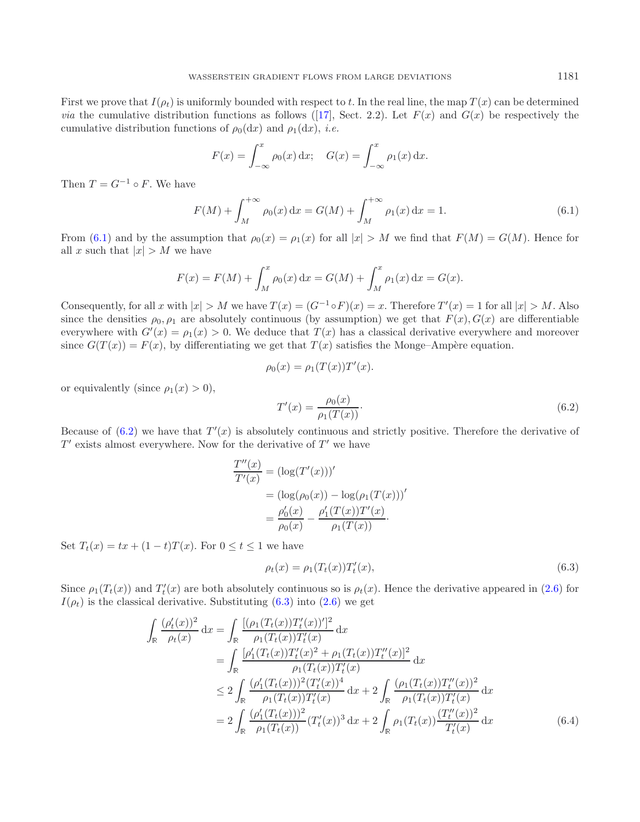<span id="page-15-0"></span>First we prove that  $I(\rho_t)$  is uniformly bounded with respect to t. In the real line, the map  $T(x)$  can be determined *via* the cumulative distribution functions as follows ([\[17](#page-22-4)], Sect. 2.2). Let  $F(x)$  and  $G(x)$  be respectively the cumulative distribution functions of  $\rho_0(dx)$  and  $\rho_1(dx)$ , *i.e.* 

$$
F(x) = \int_{-\infty}^{x} \rho_0(x) dx; \quad G(x) = \int_{-\infty}^{x} \rho_1(x) dx.
$$

Then  $T = G^{-1} \circ F$ . We have

$$
F(M) + \int_{M}^{+\infty} \rho_0(x) dx = G(M) + \int_{M}^{+\infty} \rho_1(x) dx = 1.
$$
 (6.1)

From [\(6.1\)](#page-15-0) and by the assumption that  $\rho_0(x) = \rho_1(x)$  for all  $|x| > M$  we find that  $F(M) = G(M)$ . Hence for all x such that  $|x| > M$  we have

<span id="page-15-1"></span>
$$
F(x) = F(M) + \int_M^x \rho_0(x) dx = G(M) + \int_M^x \rho_1(x) dx = G(x).
$$

Consequently, for all x with  $|x| > M$  we have  $T(x) = (G^{-1} \circ F)(x) = x$ . Therefore  $T'(x) = 1$  for all  $|x| > M$ . Also since the densities  $\rho_0$ ,  $\rho_1$  are absolutely continuous (by assumption) we get that  $F(x)$ ,  $G(x)$  are differentiable everywhere with  $G'(x) = \rho_1(x) > 0$ . We deduce that  $T(x)$  has a classical derivative everywhere and moreover since  $G(T(x)) = F(x)$ , by differentiating we get that  $T(x)$  satisfies the Monge–Ampère equation.

<span id="page-15-2"></span>
$$
\rho_0(x) = \rho_1(T(x))T'(x).
$$

or equivalently (since  $\rho_1(x) > 0$ ),

$$
T'(x) = \frac{\rho_0(x)}{\rho_1(T(x))}.
$$
\n(6.2)

Because of  $(6.2)$  we have that  $T'(x)$  is absolutely continuous and strictly positive. Therefore the derivative of  $T'$  exists almost everywhere. Now for the derivative of  $T'$  we have

$$
\frac{T''(x)}{T'(x)} = (\log(T'(x)))'
$$
  
=  $(\log(\rho_0(x)) - \log(\rho_1(T(x)))'$   
=  $\frac{\rho'_0(x)}{\rho_0(x)} - \frac{\rho'_1(T(x))T'(x)}{\rho_1(T(x))}$ .

Set  $T_t(x) = tx + (1-t)T(x)$ . For  $0 \le t \le 1$  we have

<span id="page-15-3"></span>
$$
\rho_t(x) = \rho_1(T_t(x))T'_t(x),\tag{6.3}
$$

Since  $\rho_1(T_t(x))$  and  $T'_t(x)$  are both absolutely continuous so is  $\rho_t(x)$ . Hence the derivative appeared in [\(2.6\)](#page-4-6) for  $I(\rho_t)$  is the classical derivative. Substituting [\(6.3\)](#page-15-2) into [\(2.6\)](#page-4-6) we get

$$
\int_{\mathbb{R}} \frac{(\rho'_t(x))^2}{\rho_t(x)} dx = \int_{\mathbb{R}} \frac{[(\rho_1(T_t(x))T'_t(x))^2]}{\rho_1(T_t(x))T'_t(x)} dx \n= \int_{\mathbb{R}} \frac{[\rho'_1(T_t(x))T'_t(x)^2 + \rho_1(T_t(x))T''_t(x)]^2}{\rho_1(T_t(x))T'_t(x)} dx \n\leq 2 \int_{\mathbb{R}} \frac{(\rho'_1(T_t(x))^2(T'_t(x))^4}{\rho_1(T_t(x))T'_t(x)} dx + 2 \int_{\mathbb{R}} \frac{(\rho_1(T_t(x))T''_t(x))^2}{\rho_1(T_t(x))T'_t(x)} dx \n= 2 \int_{\mathbb{R}} \frac{(\rho'_1(T_t(x)))^2}{\rho_1(T_t(x))^2} (T'_t(x))^3 dx + 2 \int_{\mathbb{R}} \rho_1(T_t(x)) \frac{(T''_t(x))^2}{T'_t(x)} dx
$$
\n(6.4)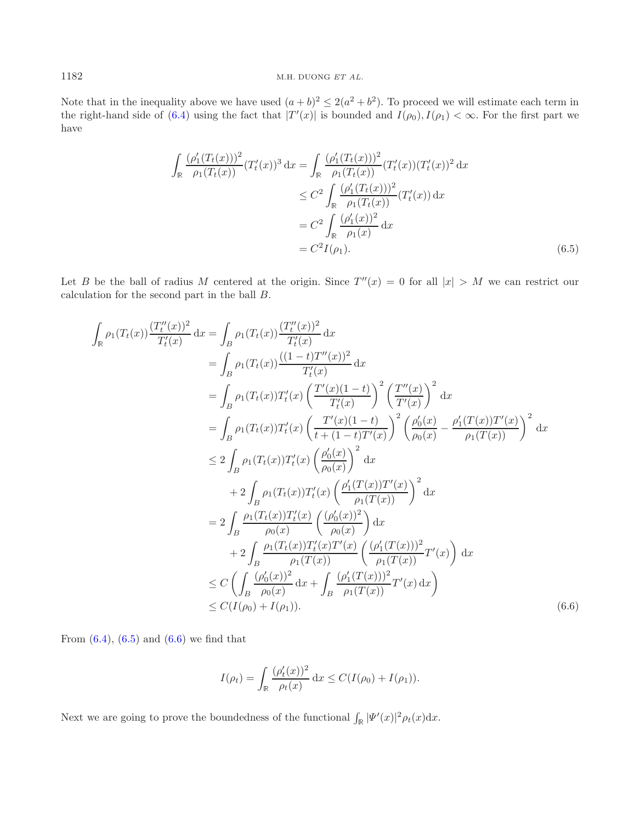Note that in the inequality above we have used  $(a + b)^2 \leq 2(a^2 + b^2)$ . To proceed we will estimate each term in the right-hand side of [\(6.4\)](#page-15-3) using the fact that  $|T'(x)|$  is bounded and  $I(\rho_0), I(\rho_1) < \infty$ . For the first part we have

<span id="page-16-0"></span>
$$
\int_{\mathbb{R}} \frac{(\rho'_1(T_t(x)))^2}{\rho_1(T_t(x))} (T'_t(x))^3 dx = \int_{\mathbb{R}} \frac{(\rho'_1(T_t(x)))^2}{\rho_1(T_t(x))} (T'_t(x))(T'_t(x))^2 dx
$$
  
\n
$$
\leq C^2 \int_{\mathbb{R}} \frac{(\rho'_1(T_t(x)))^2}{\rho_1(T_t(x))} (T'_t(x)) dx
$$
  
\n
$$
= C^2 \int_{\mathbb{R}} \frac{(\rho'_1(x))^2}{\rho_1(x)} dx
$$
  
\n
$$
= C^2 I(\rho_1).
$$
 (6.5)

Let B be the ball of radius M centered at the origin. Since  $T''(x) = 0$  for all  $|x| > M$  we can restrict our calculation for the second part in the ball B.

$$
\int_{\mathbb{R}} \rho_1(T_t(x)) \frac{(T_t''(x))^2}{T_t'(x)} dx = \int_{B} \rho_1(T_t(x)) \frac{(T_t''(x))^2}{T_t'(x)} dx \n= \int_{B} \rho_1(T_t(x)) T_t'(x) \left(\frac{T'(x)(1-t)}{T_t'(x)}\right)^2 \left(\frac{T''(x)}{T'(x)}\right)^2 dx \n= \int_{B} \rho_1(T_t(x)) T_t'(x) \left(\frac{T'(x)(1-t)}{T_t'(x)}\right)^2 \left(\frac{T''(x)}{T'(x)}\right)^2 dx \n= \int_{B} \rho_1(T_t(x)) T_t'(x) \left(\frac{T'(x)(1-t)}{t+(1-t)T'(x)}\right)^2 \left(\frac{\rho'_0(x)}{\rho_0(x)} - \frac{\rho'_1(T(x))T'(x)}{\rho_1(T(x))}\right)^2 dx \n\leq 2 \int_{B} \rho_1(T_t(x)) T_t'(x) \left(\frac{\rho'_0(x)}{\rho_0(x)}\right)^2 dx \n+ 2 \int_{B} \rho_1(T_t(x)) T_t'(x) \left(\frac{\rho'_1(T(x))T'(x)}{\rho_1(T(x))}\right)^2 dx \n= 2 \int_{B} \frac{\rho_1(T_t(x))T_t'(x)}{\rho_0(x)} \left(\frac{(\rho'_0(x))^2}{\rho_0(x)}\right) dx \n+ 2 \int_{B} \frac{\rho_1(T_t(x))T_t'(x)T'(x)}{\rho_1(T(x))} \left(\frac{(\rho'_1(T(x)))^2}{\rho_1(T(x))} T'(x)\right) dx \n\leq C \left(\int_{B} \frac{(\rho'_0(x))^2}{\rho_0(x)} dx + \int_{B} \frac{(\rho'_1(T(x)))^2}{\rho_1(T(x))} T'(x) dx\right) \n\leq C(I(\rho_0) + I(\rho_1)). \tag{6.6}
$$

From  $(6.4)$ ,  $(6.5)$  and  $(6.6)$  we find that

<span id="page-16-1"></span>
$$
I(\rho_t) = \int_{\mathbb{R}} \frac{(\rho'_t(x))^2}{\rho_t(x)} dx \le C(I(\rho_0) + I(\rho_1)).
$$

Next we are going to prove the boundedness of the functional  $\int_{\mathbb{R}} |\Psi'(x)|^2 \rho_t(x) dx$ .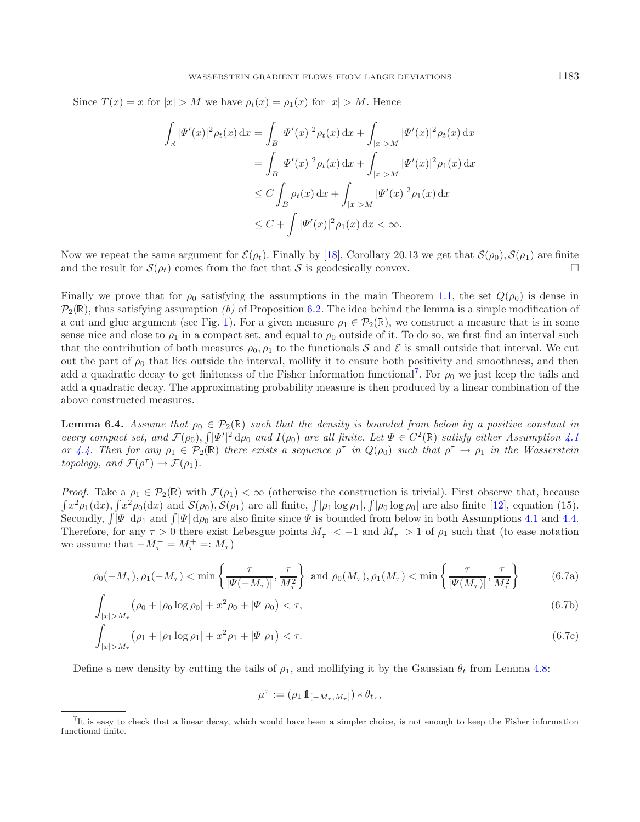Since  $T(x) = x$  for  $|x| > M$  we have  $\rho_t(x) = \rho_1(x)$  for  $|x| > M$ . Hence

$$
\int_{\mathbb{R}} |\Psi'(x)|^2 \rho_t(x) dx = \int_{B} |\Psi'(x)|^2 \rho_t(x) dx + \int_{|x|>M} |\Psi'(x)|^2 \rho_t(x) dx
$$
  
\n
$$
= \int_{B} |\Psi'(x)|^2 \rho_t(x) dx + \int_{|x|>M} |\Psi'(x)|^2 \rho_1(x) dx
$$
  
\n
$$
\leq C \int_{B} \rho_t(x) dx + \int_{|x|>M} |\Psi'(x)|^2 \rho_1(x) dx
$$
  
\n
$$
\leq C + \int |\Psi'(x)|^2 \rho_1(x) dx < \infty.
$$

Now we repeat the same argument for  $\mathcal{E}(\rho_t)$ . Finally by [\[18\]](#page-22-6), Corollary 20.13 we get that  $\mathcal{S}(\rho_0), \mathcal{S}(\rho_1)$  are finite and the result for  $S(\rho_t)$  comes from the fact that S is geodesically convex.

Finally we prove that for  $\rho_0$  satisfying the assumptions in the main Theorem [1.1,](#page-1-4) the set  $Q(\rho_0)$  is dense in  $P_2(\mathbb{R})$ , thus satisfying assumption *(b)* of Proposition [6.2.](#page-13-3) The idea behind the lemma is a simple modification of a cut and glue argument (see Fig. [1\)](#page-19-0). For a given measure  $\rho_1 \in \mathcal{P}_2(\mathbb{R})$ , we construct a measure that is in some sense nice and close to  $\rho_1$  in a compact set, and equal to  $\rho_0$  outside of it. To do so, we first find an interval such that the contribution of both measures  $\rho_0$ ,  $\rho_1$  to the functionals S and E is small outside that interval. We cut out the part of  $\rho_0$  that lies outside the interval, mollify it to ensure both positivity and smoothness, and then add a quadratic decay to get finiteness of the Fisher information functional<sup>[7](#page-17-0)</sup>. For  $\rho_0$  we just keep the tails and add a quadratic decay. The approximating probability measure is then produced by a linear combination of the above constructed measures.

**Lemma 6.4.** *Assume that*  $\rho_0 \in \mathcal{P}_2(\mathbb{R})$  *such that the density is bounded from below by a positive constant in every compact set, and*  $\mathcal{F}(\rho_0)$ ,  $\int |\Psi'|^2 d\rho_0$  *and*  $I(\rho_0)$  *are all finite. Let*  $\Psi \in C^2(\mathbb{R})$  *satisfy either Assumption [4.1](#page-6-0) or* [4.4.](#page-7-0) Then for any  $\rho_1 \in \mathcal{P}_2(\mathbb{R})$  there exists a sequence  $\rho^{\tau}$  in  $Q(\rho_0)$  such that  $\rho^{\tau} \to \rho_1$  in the Wasserstein *topology, and*  $\mathcal{F}(\rho^{\tau}) \to \mathcal{F}(\rho_1)$ *.* 

*Proof.* Take a  $\rho_1 \in \mathcal{P}_2(\mathbb{R})$  with  $\mathcal{F}(\rho_1) < \infty$  (otherwise the construction is trivial). First observe that, because  $\int x^2 \rho_1(dx)$ ,  $\int x^2 \rho_0(dx)$  and  $\mathcal{S}(\rho_0), \mathcal{S}(\rho_1)$  are all finite,  $\int |\rho_1 \log \rho_1|$ ,  $\int |\rho_0 \log \rho_0|$  are also finite [\[12\]](#page-22-0), equation (15). Secondly,  $\int |\Psi| d\rho_1$  and  $\int |\Psi| d\rho_0$  are also finite since  $\Psi$  is bounded from below in both Assumptions [4.1](#page-6-0) and [4.4.](#page-7-0) Therefore, for any  $\tau > 0$  there exist Lebesgue points  $M_{\tau}^- < -1$  and  $M_{\tau}^+ > 1$  of  $\rho_1$  such that (to ease notation we assume that  $-M_{\tau}^{-} = M_{\tau}^{+} =: M_{\tau}$ 

<span id="page-17-0"></span>
$$
\rho_0(-M_\tau), \rho_1(-M_\tau) < \min\left\{\frac{\tau}{|\Psi(-M_\tau)|}, \frac{\tau}{M_\tau^2}\right\} \text{ and } \rho_0(M_\tau), \rho_1(M_\tau) < \min\left\{\frac{\tau}{|\Psi(M_\tau)|}, \frac{\tau}{M_\tau^2}\right\} \tag{6.7a}
$$

$$
\int_{|x|>M_{\tau}} (\rho_0 + |\rho_0| \log \rho_0| + x^2 \rho_0 + |\Psi|\rho_0) < \tau,\tag{6.7b}
$$

$$
\int_{|x|>M_{\tau}} (\rho_1 + |\rho_1 \log \rho_1| + x^2 \rho_1 + |\Psi|\rho_1) < \tau. \tag{6.7c}
$$

Define a new density by cutting the tails of  $\rho_1$ , and mollifying it by the Gaussian  $\theta_t$  from Lemma [4.8:](#page-10-0)

<span id="page-17-3"></span><span id="page-17-2"></span>
$$
\mu^{\tau} := (\rho_1 1\!\!1_{[-M_{\tau}, M_{\tau}]}) * \theta_{t_{\tau}},
$$

<span id="page-17-1"></span>

<sup>7</sup>It is easy to check that a linear decay, which would have been a simpler choice, is not enough to keep the Fisher information functional finite.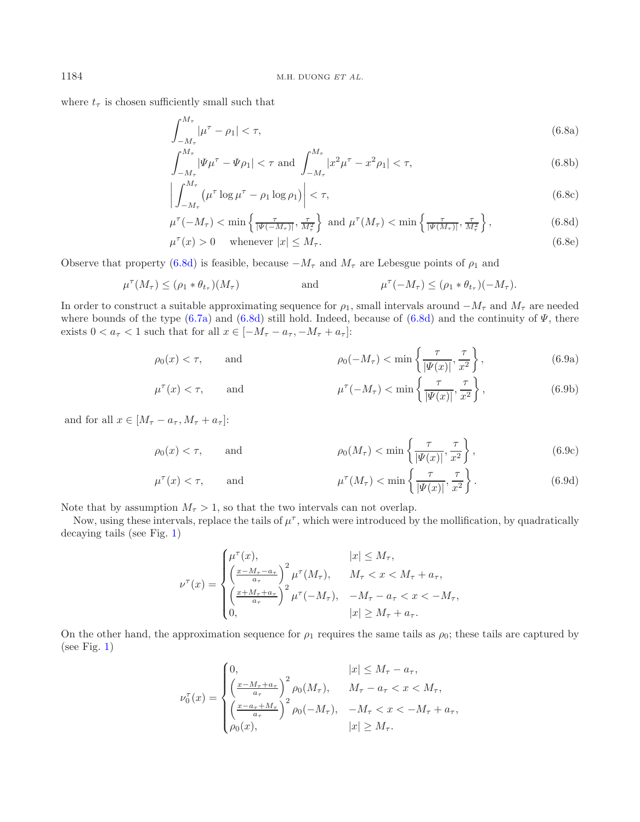where  $t_{\tau}$  is chosen sufficiently small such that

<span id="page-18-4"></span><span id="page-18-2"></span><span id="page-18-1"></span><span id="page-18-0"></span>
$$
\int_{-M_{\tau}}^{M_{\tau}} |\mu^{\tau} - \rho_1| < \tau,\tag{6.8a}
$$

$$
\int_{-M_{\tau}}^{M_{\tau}} |\Psi \mu^{\tau} - \Psi \rho_1| < \tau \text{ and } \int_{-M_{\tau}}^{M_{\tau}} |x^2 \mu^{\tau} - x^2 \rho_1| < \tau,\tag{6.8b}
$$

$$
\left| \int_{-M_{\tau}}^{M_{\tau}} \left( \mu^{\tau} \log \mu^{\tau} - \rho_1 \log \rho_1 \right) \right| < \tau,\tag{6.8c}
$$

<span id="page-18-5"></span>
$$
\mu^{\tau}(-M_{\tau}) < \min\left\{\frac{\tau}{|\Psi(-M_{\tau})|}, \frac{\tau}{M_{\tau}^{2}}\right\} \text{ and } \mu^{\tau}(M_{\tau}) < \min\left\{\frac{\tau}{|\Psi(M_{\tau})|}, \frac{\tau}{M_{\tau}^{2}}\right\},\tag{6.8d}
$$

<span id="page-18-7"></span><span id="page-18-6"></span><span id="page-18-3"></span>
$$
\mu^{\tau}(x) > 0 \quad \text{whenever } |x| \le M_{\tau}.\tag{6.8e}
$$

Observe that property [\(6.8d\)](#page-18-0) is feasible, because  $-M_{\tau}$  and  $M_{\tau}$  are Lebesgue points of  $\rho_1$  and

$$
\mu^{\tau}(M_{\tau}) \leq (\rho_1 * \theta_{t_{\tau}})(M_{\tau}) \qquad \text{and} \qquad \mu^{\tau}(-M_{\tau}) \leq (\rho_1 * \theta_{t_{\tau}})(-M_{\tau}).
$$

In order to construct a suitable approximating sequence for  $\rho_1$ , small intervals around  $-M_{\tau}$  and  $M_{\tau}$  are needed where bounds of the type  $(6.7a)$  and  $(6.8d)$  still hold. Indeed, because of  $(6.8d)$  and the continuity of  $\Psi$ , there exists  $0 < a_{\tau} < 1$  such that for all  $x \in [-M_{\tau} - a_{\tau}, -M_{\tau} + a_{\tau}]$ :

$$
\rho_0(x) < \tau, \qquad \text{and} \qquad \qquad \rho_0(-M_\tau) < \min\left\{\frac{\tau}{|\Psi(x)|}, \frac{\tau}{x^2}\right\},\tag{6.9a}
$$

$$
\mu^{\tau}(x) < \tau, \qquad \text{and} \qquad \qquad \mu^{\tau}(-M_{\tau}) < \min\left\{\frac{\tau}{|\Psi(x)|}, \frac{\tau}{x^2}\right\},\tag{6.9b}
$$

and for all  $x \in [M_{\tau} - a_{\tau}, M_{\tau} + a_{\tau}]$ :

$$
\rho_0(x) < \tau, \qquad \text{and} \qquad \qquad \rho_0(M_\tau) < \min\left\{\frac{\tau}{|\Psi(x)|}, \frac{\tau}{x^2}\right\},\tag{6.9c}
$$

$$
\mu^{\tau}(x) < \tau, \qquad \text{and} \qquad \qquad \mu^{\tau}(M_{\tau}) < \min\left\{\frac{\tau}{|\Psi(x)|}, \frac{\tau}{x^2}\right\}.\tag{6.9d}
$$

Note that by assumption  $M_\tau > 1$ , so that the two intervals can not overlap.

Now, using these intervals, replace the tails of  $\mu^{\tau}$ , which were introduced by the mollification, by quadratically decaying tails (see Fig. [1\)](#page-19-0)

$$
\nu^{\tau}(x) = \begin{cases} \mu^{\tau}(x), & |x| \le M_{\tau}, \\ \left(\frac{x - M_{\tau} - a_{\tau}}{a_{\tau}}\right)^{2} \mu^{\tau}(M_{\tau}), & M_{\tau} < x < M_{\tau} + a_{\tau}, \\ \left(\frac{x + M_{\tau} + a_{\tau}}{a_{\tau}}\right)^{2} \mu^{\tau}(-M_{\tau}), & -M_{\tau} - a_{\tau} < x < -M_{\tau}, \\ 0, & |x| \ge M_{\tau} + a_{\tau}. \end{cases}
$$

On the other hand, the approximation sequence for  $\rho_1$  requires the same tails as  $\rho_0$ ; these tails are captured by (see Fig.  $1$ )

$$
\nu_0^{\tau}(x) = \begin{cases}\n0, & |x| \le M_{\tau} - a_{\tau}, \\
\left(\frac{x - M_{\tau} + a_{\tau}}{a_{\tau}}\right)^2 \rho_0(M_{\tau}), & M_{\tau} - a_{\tau} < x < M_{\tau}, \\
\left(\frac{x - a_{\tau} + M_{\tau}}{a_{\tau}}\right)^2 \rho_0(-M_{\tau}), & -M_{\tau} < x < -M_{\tau} + a_{\tau}, \\
\rho_0(x), & |x| \ge M_{\tau}.\n\end{cases}
$$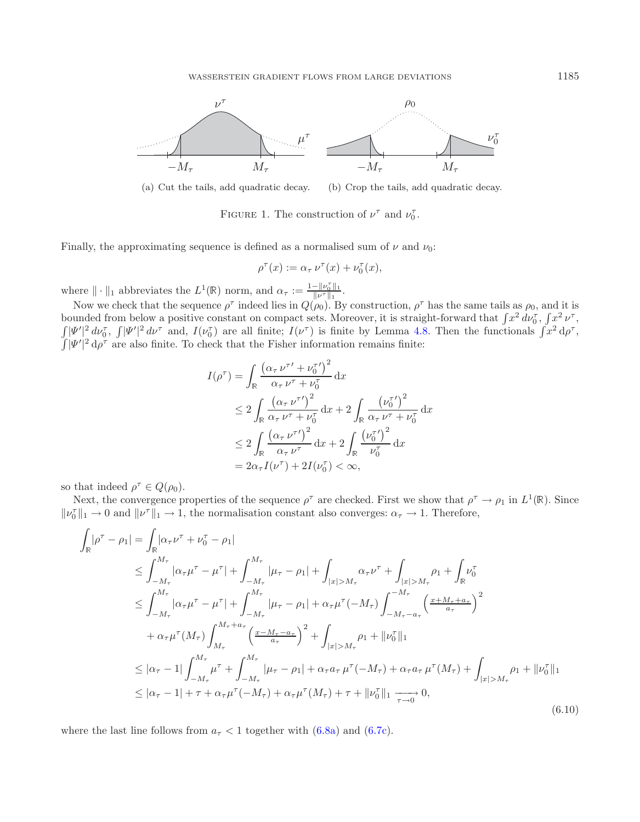<span id="page-19-0"></span>

(a) Cut the tails, add quadratic decay. (b) Crop the tails, add quadratic decay.

FIGURE 1. The construction of  $\nu^{\tau}$  and  $\nu_0^{\tau}$ .

Finally, the approximating sequence is defined as a normalised sum of  $\nu$  and  $\nu_0$ :

<span id="page-19-1"></span>
$$
\rho^{\tau}(x) := \alpha_{\tau} \nu^{\tau}(x) + \nu_0^{\tau}(x),
$$

where  $\|\cdot\|_1$  abbreviates the  $L^1(\mathbb{R})$  norm, and  $\alpha_{\tau} := \frac{1 - \|\nu_0^{\tau}\|_1}{\|\nu^{\tau}\|_1}$ .

Now we check that the sequence  $\rho^{\tau}$  indeed lies in  $Q(\rho_0)$ . By construction,  $\rho^{\tau}$  has the same tails as  $\rho_0$ , and it is bounded from below a positive constant on compact sets. Moreover, it is straight-forward that  $\int x^2 d\nu_0^{\tau}$ ,  $\int x^2 \nu^{\tau}$ ,  $\int |\Psi'|^2 dv_0^{\tau}$ ,  $\int |\Psi'|^2 dv^{\tau}$  and,  $I(\nu_0^{\tau})$  are all finite;  $I(\nu^{\tau})$  is finite by Lemma [4.8.](#page-10-0) Then the functionals  $\int x^2 d\rho^{\tau}$ ,  $\int |\Psi'|^2 d\rho^{\tau}$  are also finite. To check that the Fisher information remains finite:

$$
I(\rho^{\tau}) = \int_{\mathbb{R}} \frac{(\alpha_{\tau} \nu^{\tau'} + \nu_0^{\tau'})^2}{\alpha_{\tau} \nu^{\tau} + \nu_0^{\tau}} dx
$$
  
\n
$$
\leq 2 \int_{\mathbb{R}} \frac{(\alpha_{\tau} \nu^{\tau'})^2}{\alpha_{\tau} \nu^{\tau} + \nu_0^{\tau}} dx + 2 \int_{\mathbb{R}} \frac{(\nu_0^{\tau'})^2}{\alpha_{\tau} \nu^{\tau} + \nu_0^{\tau}} dx
$$
  
\n
$$
\leq 2 \int_{\mathbb{R}} \frac{(\alpha_{\tau} \nu^{\tau'})^2}{\alpha_{\tau} \nu^{\tau}} dx + 2 \int_{\mathbb{R}} \frac{(\nu_0^{\tau'})^2}{\nu_0^{\tau}} dx
$$
  
\n
$$
= 2\alpha_{\tau} I(\nu^{\tau}) + 2I(\nu_0^{\tau}) < \infty,
$$

so that indeed  $\rho^{\tau} \in Q(\rho_0)$ .

Next, the convergence properties of the sequence  $\rho^{\tau}$  are checked. First we show that  $\rho^{\tau} \to \rho_1$  in  $L^1(\mathbb{R})$ . Since  $\|\nu_0^{\tau}\|_1 \to 0$  and  $\|\nu^{\tau}\|_1 \to 1$ , the normalisation constant also converges:  $\alpha_{\tau} \to 1$ . Therefore,

$$
\int_{\mathbb{R}} |\rho^{\tau} - \rho_1| = \int_{\mathbb{R}} |\alpha_{\tau} \nu^{\tau} + \nu_0^{\tau} - \rho_1|
$$
\n
$$
\leq \int_{-M_{\tau}}^{M_{\tau}} |\alpha_{\tau} \mu^{\tau} - \mu^{\tau}| + \int_{-M_{\tau}}^{M_{\tau}} |\mu_{\tau} - \rho_1| + \int_{|x| > M_{\tau}} \alpha_{\tau} \nu^{\tau} + \int_{|x| > M_{\tau}} \rho_1 + \int_{\mathbb{R}} \nu_0^{\tau}
$$
\n
$$
\leq \int_{-M_{\tau}}^{M_{\tau}} |\alpha_{\tau} \mu^{\tau} - \mu^{\tau}| + \int_{-M_{\tau}}^{M_{\tau}} |\mu_{\tau} - \rho_1| + \alpha_{\tau} \mu^{\tau}(-M_{\tau}) \int_{-M_{\tau}}^{-M_{\tau}} \left(\frac{x + M_{\tau} + a_{\tau}}{a_{\tau}}\right)^2
$$
\n
$$
+ \alpha_{\tau} \mu^{\tau}(M_{\tau}) \int_{M_{\tau}}^{M_{\tau} + a_{\tau}} \left(\frac{x - M_{\tau} - a_{\tau}}{a_{\tau}}\right)^2 + \int_{|x| > M_{\tau}} \rho_1 + ||\nu_0^{\tau}||_1
$$
\n
$$
\leq |\alpha_{\tau} - 1| \int_{-M_{\tau}}^{M_{\tau}} \mu^{\tau} + \int_{-M_{\tau}}^{M_{\tau}} |\mu_{\tau} - \rho_1| + \alpha_{\tau} a_{\tau} \mu^{\tau}(-M_{\tau}) + \alpha_{\tau} a_{\tau} \mu^{\tau}(M_{\tau}) + \int_{|x| > M_{\tau}} \rho_1 + ||\nu_0^{\tau}||_1
$$
\n
$$
\leq |\alpha_{\tau} - 1| + \tau + \alpha_{\tau} \mu^{\tau}(-M_{\tau}) + \alpha_{\tau} \mu^{\tau}(M_{\tau}) + \tau + ||\nu_0^{\tau}||_1 \xrightarrow[\tau \to 0]{} 0,
$$
\n(6.10)

where the last line follows from  $a<sub>\tau</sub> < 1$  together with  $(6.8a)$  and  $(6.7c)$ .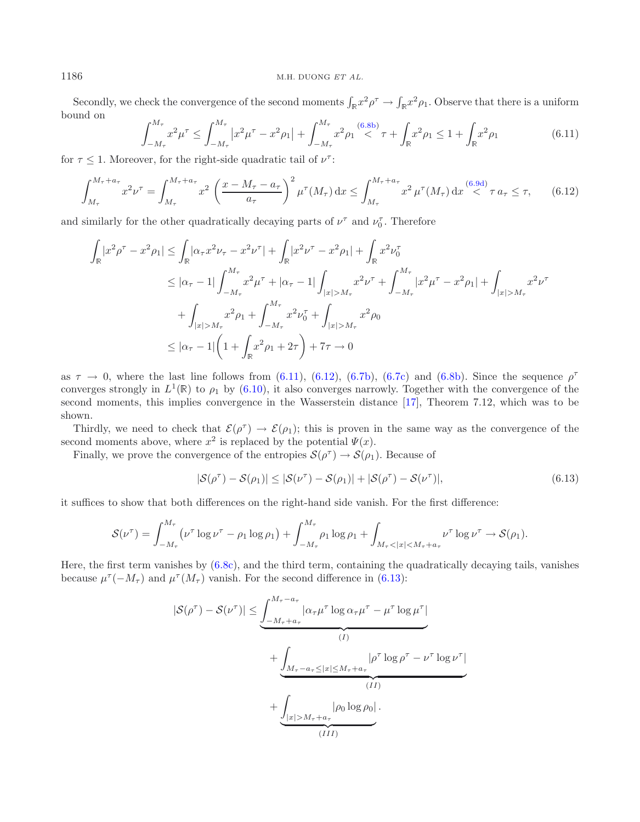Secondly, we check the convergence of the second moments  $\int_{\mathbb{R}} x^2 \rho^{\tau} \to \int_{\mathbb{R}} x^2 \rho_1$ . Observe that there is a uniform bound on

<span id="page-20-1"></span>
$$
\int_{-M_{\tau}}^{M_{\tau}} x^2 \mu^{\tau} \le \int_{-M_{\tau}}^{M_{\tau}} \left| x^2 \mu^{\tau} - x^2 \rho_1 \right| + \int_{-M_{\tau}}^{M_{\tau}} x^2 \rho_1 \stackrel{(6.8b)}{\le} \tau + \int_{\mathbb{R}} x^2 \rho_1 \le 1 + \int_{\mathbb{R}} x^2 \rho_1 \tag{6.11}
$$

for  $\tau \leq 1$ . Moreover, for the right-side quadratic tail of  $\nu^{\tau}$ :

$$
\int_{M_{\tau}}^{M_{\tau} + a_{\tau}} x^{2} \nu^{\tau} = \int_{M_{\tau}}^{M_{\tau} + a_{\tau}} x^{2} \left( \frac{x - M_{\tau} - a_{\tau}}{a_{\tau}} \right)^{2} \mu^{\tau}(M_{\tau}) dx \le \int_{M_{\tau}}^{M_{\tau} + a_{\tau}} x^{2} \mu^{\tau}(M_{\tau}) dx \stackrel{(6.9d)}{<} \tau a_{\tau} \le \tau, \qquad (6.12)
$$

and similarly for the other quadratically decaying parts of  $\nu^{\tau}$  and  $\nu^{\tau}_{0}$ . Therefore

$$
\int_{\mathbb{R}} |x^2 \rho^{\tau} - x^2 \rho_1| \le \int_{\mathbb{R}} |\alpha_{\tau} x^2 \nu_{\tau} - x^2 \nu^{\tau}| + \int_{\mathbb{R}} |x^2 \nu^{\tau} - x^2 \rho_1| + \int_{\mathbb{R}} x^2 \nu_0^{\tau}
$$
\n
$$
\le |\alpha_{\tau} - 1| \int_{-M_{\tau}}^{M_{\tau}} x^2 \mu^{\tau} + |\alpha_{\tau} - 1| \int_{|x| > M_{\tau}} x^2 \nu^{\tau} + \int_{-M_{\tau}}^{M_{\tau}} |x^2 \mu^{\tau} - x^2 \rho_1| + \int_{|x| > M_{\tau}} x^2 \nu^{\tau}
$$
\n
$$
+ \int_{|x| > M_{\tau}} x^2 \rho_1 + \int_{-M_{\tau}}^{M_{\tau}} x^2 \nu_0^{\tau} + \int_{|x| > M_{\tau}} x^2 \rho_0
$$
\n
$$
\le |\alpha_{\tau} - 1| \left( 1 + \int_{\mathbb{R}} x^2 \rho_1 + 2\tau \right) + 7\tau \to 0
$$

as  $\tau \to 0$ , where the last line follows from [\(6.11\)](#page-20-0), [\(6.12\)](#page-20-1), [\(6.7b\)](#page-17-3), [\(6.7c\)](#page-17-2) and [\(6.8b\)](#page-18-2). Since the sequence  $\rho^{\tau}$ converges strongly in  $L^1(\mathbb{R})$  to  $\rho_1$  by [\(6.10\)](#page-19-1), it also converges narrowly. Together with the convergence of the second moments, this implies convergence in the Wasserstein distance [\[17](#page-22-4)], Theorem 7.12, which was to be shown.

Thirdly, we need to check that  $\mathcal{E}(\rho^{\tau}) \to \mathcal{E}(\rho_1)$ ; this is proven in the same way as the convergence of the second moments above, where  $x^2$  is replaced by the potential  $\Psi(x)$ .

Finally, we prove the convergence of the entropies  $\mathcal{S}(\rho^{\tau}) \to \mathcal{S}(\rho_1)$ . Because of

<span id="page-20-2"></span>
$$
|\mathcal{S}(\rho^{\tau}) - \mathcal{S}(\rho_1)| \leq |\mathcal{S}(\nu^{\tau}) - \mathcal{S}(\rho_1)| + |\mathcal{S}(\rho^{\tau}) - \mathcal{S}(\nu^{\tau})|,
$$
\n(6.13)

it suffices to show that both differences on the right-hand side vanish. For the first difference:

$$
\mathcal{S}(\nu^{\tau}) = \int_{-M_{\tau}}^{M_{\tau}} (\nu^{\tau} \log \nu^{\tau} - \rho_1 \log \rho_1) + \int_{-M_{\tau}}^{M_{\tau}} \rho_1 \log \rho_1 + \int_{M_{\tau} < |x| < M_{\tau} + a_{\tau}} \nu^{\tau} \log \nu^{\tau} \to \mathcal{S}(\rho_1).
$$

Here, the first term vanishes by [\(6.8c\)](#page-18-4), and the third term, containing the quadratically decaying tails, vanishes because  $\mu^{\tau}(-M_{\tau})$  and  $\mu^{\tau}(M_{\tau})$  vanish. For the second difference in [\(6.13\)](#page-20-2):

$$
|\mathcal{S}(\rho^{\tau}) - \mathcal{S}(\nu^{\tau})| \leq \underbrace{\int_{-M_{\tau} + a_{\tau}}^{M_{\tau} - a_{\tau}} |\alpha_{\tau}\mu^{\tau}| \log \alpha_{\tau}\mu^{\tau} - \mu^{\tau} \log \mu^{\tau} |}_{(I)} + \underbrace{\int_{M_{\tau} - a_{\tau} \leq |x| \leq M_{\tau} + a_{\tau}} |\rho^{\tau} \log \rho^{\tau} - \nu^{\tau} \log \nu^{\tau} |}_{(II)} + \underbrace{\int_{|x| > M_{\tau} + a_{\tau}} |\rho_0 \log \rho_0 |}_{(III)}
$$

<span id="page-20-0"></span>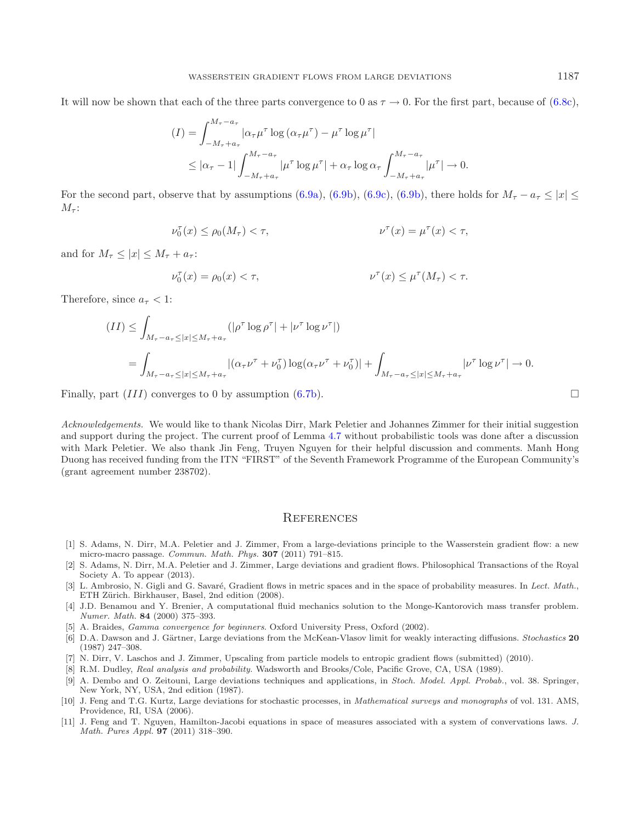It will now be shown that each of the three parts convergence to 0 as  $\tau \to 0$ . For the first part, because of [\(6.8c\)](#page-18-4),

$$
(I) = \int_{-M_{\tau} + a_{\tau}}^{M_{\tau} - a_{\tau}} |\alpha_{\tau} \mu^{\tau}| \log (\alpha_{\tau} \mu^{\tau}) - \mu^{\tau} \log \mu^{\tau}|
$$
  

$$
\leq |\alpha_{\tau} - 1| \int_{-M_{\tau} + a_{\tau}}^{M_{\tau} - a_{\tau}} |\mu^{\tau}| \log \mu^{\tau}| + \alpha_{\tau} \log \alpha_{\tau} \int_{-M_{\tau} + a_{\tau}}^{M_{\tau} - a_{\tau}} |\mu^{\tau}| \to 0.
$$

For the second part, observe that by assumptions [\(6.9a\)](#page-18-5), [\(6.9b\)](#page-18-6), [\(6.9c\)](#page-18-7), (6.9b), there holds for  $M_{\tau} - a_{\tau} \leq |x| \leq$  $M_{\tau}$ :

$$
\nu_0^{\tau}(x) \le \rho_0(M_{\tau}) < \tau,
$$
\n
$$
\nu^{\tau}(x) = \mu^{\tau}(x) < \tau,
$$

and for  $M_{\tau} \leq |x| \leq M_{\tau} + a_{\tau}$ :

$$
\nu_0^{\tau}(x)=\rho_0(x)<\tau,
$$
  

$$
\nu^{\tau}(x)\leq \mu^{\tau}(M_{\tau})<\tau.
$$

Therefore, since  $a_{\tau} < 1$ :

$$
(II) \leq \int_{M_{\tau}-a_{\tau}\leq |x|\leq M_{\tau}+a_{\tau}} (|\rho^{\tau}\log\rho^{\tau}|+|\nu^{\tau}\log\nu^{\tau}|)
$$
  
= 
$$
\int_{M_{\tau}-a_{\tau}\leq |x|\leq M_{\tau}+a_{\tau}} |(\alpha_{\tau}\nu^{\tau}+\nu_{0}^{\tau})\log(\alpha_{\tau}\nu^{\tau}+\nu_{0}^{\tau})| + \int_{M_{\tau}-a_{\tau}\leq |x|\leq M_{\tau}+a_{\tau}} |\nu^{\tau}\log\nu^{\tau}| \to 0.
$$

Finally, part  $(III)$  converges to 0 by assumption [\(6.7b\)](#page-17-3).

*Acknowledgements.* We would like to thank Nicolas Dirr, Mark Peletier and Johannes Zimmer for their initial suggestion and support during the project. The current proof of Lemma [4.7](#page-7-2) without probabilistic tools was done after a discussion with Mark Peletier. We also thank Jin Feng, Truyen Nguyen for their helpful discussion and comments. Manh Hong Duong has received funding from the ITN "FIRST" of the Seventh Framework Programme of the European Community's (grant agreement number 238702).

#### **REFERENCES**

- <span id="page-21-1"></span>[1] S. Adams, N. Dirr, M.A. Peletier and J. Zimmer, From a large-deviations principle to the Wasserstein gradient flow: a new micro-macro passage. Commun. Math. Phys. **307** (2011) 791–815.
- <span id="page-21-2"></span>[2] S. Adams, N. Dirr, M.A. Peletier and J. Zimmer, Large deviations and gradient flows. Philosophical Transactions of the Royal Society A. To appear (2013).
- <span id="page-21-0"></span>[3] L. Ambrosio, N. Gigli and G. Savaré, Gradient flows in metric spaces and in the space of probability measures. In Lect. Math., ETH Zürich. Birkhauser, Basel, 2nd edition (2008).
- <span id="page-21-7"></span>[4] J.D. Benamou and Y. Brenier, A computational fluid mechanics solution to the Monge-Kantorovich mass transfer problem. Numer. Math. **84** (2000) 375–393.
- [5] A. Braides, Gamma convergence for beginners. Oxford University Press, Oxford (2002).
- <span id="page-21-6"></span><span id="page-21-5"></span>[6] D.A. Dawson and J. Gärtner, Large deviations from the McKean-Vlasov limit for weakly interacting diffusions. Stochastics 20 (1987) 247–308.
- <span id="page-21-3"></span>[7] N. Dirr, V. Laschos and J. Zimmer, Upscaling from particle models to entropic gradient flows (submitted) (2010).
- [8] R.M. Dudley, Real analysis and probability. Wadsworth and Brooks/Cole, Pacific Grove, CA, USA (1989).
- <span id="page-21-4"></span>[9] A. Dembo and O. Zeitouni, Large deviations techniques and applications, in Stoch. Model. Appl. Probab., vol. 38. Springer, New York, NY, USA, 2nd edition (1987).
- <span id="page-21-9"></span><span id="page-21-8"></span>[10] J. Feng and T.G. Kurtz, Large deviations for stochastic processes, in Mathematical surveys and monographs of vol. 131. AMS, Providence, RI, USA (2006).
- <span id="page-21-10"></span>[11] J. Feng and T. Nguyen, Hamilton-Jacobi equations in space of measures associated with a system of convervations laws. J. Math. Pures Appl. **97** (2011) 318–390.